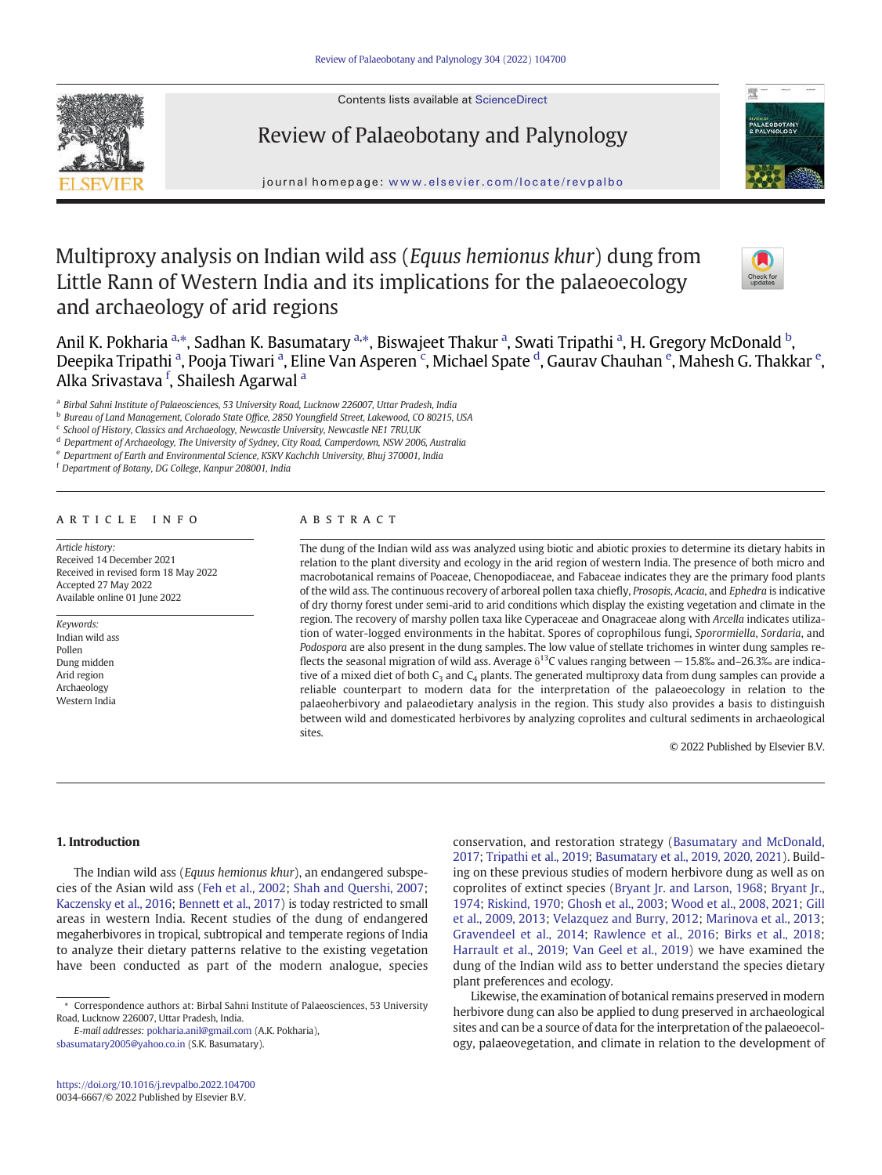Contents lists available at ScienceDirect



# Review of Palaeobotany and Palynology



journal homepage: <www.elsevier.com/locate/revpalbo>

# Multiproxy analysis on Indian wild ass (Equus hemionus khur) dung from Little Rann of Western India and its implications for the palaeoecology and archaeology of arid regions



Anil K. Pokharia <sup>a,</sup>\*, Sadhan K. Basumatary <sup>a,</sup>\*, Biswajeet Thakur <sup>a</sup>, Swati Tripathi <sup>a</sup>, H. Gregory McDonald <sup>b</sup>, Deepika Tripathi <sup>a</sup>, Pooja Tiwari <sup>a</sup>, Eline Van Asperen <sup>c</sup>, Michael Spate <sup>d</sup>, Gaurav Chauhan <sup>e</sup>, Mahesh G. Thakkar <sup>e</sup>, Alka Srivastava <sup>f</sup>, Shailesh Agarwal <sup>a</sup>

<sup>a</sup> Birbal Sahni Institute of Palaeosciences, 53 University Road, Lucknow 226007, Uttar Pradesh, India

<sup>b</sup> Bureau of Land Management, Colorado State Office, 2850 Youngfield Street, Lakewood, CO 80215, USA

<sup>c</sup> School of History, Classics and Archaeology, Newcastle University, Newcastle NE1 7RU,UK

<sup>d</sup> Department of Archaeology, The University of Sydney, City Road, Camperdown, NSW 2006, Australia

<sup>e</sup> Department of Earth and Environmental Science, KSKV Kachchh University, Bhuj 370001, India

<sup>f</sup> Department of Botany, DG College, Kanpur 208001, India

#### article info abstract

Article history: Received 14 December 2021 Received in revised form 18 May 2022 Accepted 27 May 2022 Available online 01 June 2022

Keywords: Indian wild ass Pollen Dung midden Arid region Archaeology Western India

The dung of the Indian wild ass was analyzed using biotic and abiotic proxies to determine its dietary habits in relation to the plant diversity and ecology in the arid region of western India. The presence of both micro and macrobotanical remains of Poaceae, Chenopodiaceae, and Fabaceae indicates they are the primary food plants of the wild ass. The continuous recovery of arboreal pollen taxa chiefly, Prosopis, Acacia, and Ephedra is indicative of dry thorny forest under semi-arid to arid conditions which display the existing vegetation and climate in the region. The recovery of marshy pollen taxa like Cyperaceae and Onagraceae along with Arcella indicates utilization of water-logged environments in the habitat. Spores of coprophilous fungi, Sporormiella, Sordaria, and Podospora are also present in the dung samples. The low value of stellate trichomes in winter dung samples reflects the seasonal migration of wild ass. Average  $\delta^{13}$ C values ranging between  $-15.8\%$  and–26.3‰ are indicative of a mixed diet of both  $C_3$  and  $C_4$  plants. The generated multiproxy data from dung samples can provide a reliable counterpart to modern data for the interpretation of the palaeoecology in relation to the palaeoherbivory and palaeodietary analysis in the region. This study also provides a basis to distinguish between wild and domesticated herbivores by analyzing coprolites and cultural sediments in archaeological sites.

© 2022 Published by Elsevier B.V.

# 1. Introduction

The Indian wild ass (Equus hemionus khur), an endangered subspecies of the Asian wild ass ([Feh et al., 2002](#page-10-0); [Shah and Quershi, 2007](#page-11-0); [Kaczensky et al., 2016;](#page-10-0) [Bennett et al., 2017](#page-10-0)) is today restricted to small areas in western India. Recent studies of the dung of endangered megaherbivores in tropical, subtropical and temperate regions of India to analyze their dietary patterns relative to the existing vegetation have been conducted as part of the modern analogue, species

E-mail addresses: [pokharia.anil@gmail.com](mailto:pokharia.anil@gmail.com) (A.K. Pokharia), [sbasumatary2005@yahoo.co.in](mailto:sbasumatary2005@yahoo.co.in) (S.K. Basumatary).

conservation, and restoration strategy ([Basumatary and McDonald,](#page-10-0) [2017;](#page-10-0) [Tripathi et al., 2019](#page-11-0); [Basumatary et al., 2019, 2020, 2021](#page-10-0)). Building on these previous studies of modern herbivore dung as well as on coprolites of extinct species [\(Bryant Jr. and Larson, 1968;](#page-10-0) [Bryant Jr.,](#page-10-0) [1974](#page-10-0); [Riskind, 1970](#page-11-0); [Ghosh et al., 2003](#page-10-0); [Wood et al., 2008, 2021;](#page-12-0) [Gill](#page-10-0) [et al., 2009, 2013;](#page-10-0) [Velazquez and Burry, 2012](#page-11-0); [Marinova et al., 2013](#page-11-0); [Gravendeel et al., 2014;](#page-10-0) [Rawlence et al., 2016](#page-11-0); [Birks et al., 2018](#page-10-0); [Harrault et al., 2019](#page-10-0); [Van Geel et al., 2019](#page-11-0)) we have examined the dung of the Indian wild ass to better understand the species dietary plant preferences and ecology.

Likewise, the examination of botanical remains preserved in modern herbivore dung can also be applied to dung preserved in archaeological sites and can be a source of data for the interpretation of the palaeoecology, palaeovegetation, and climate in relation to the development of

<sup>⁎</sup> Correspondence authors at: Birbal Sahni Institute of Palaeosciences, 53 University Road, Lucknow 226007, Uttar Pradesh, India.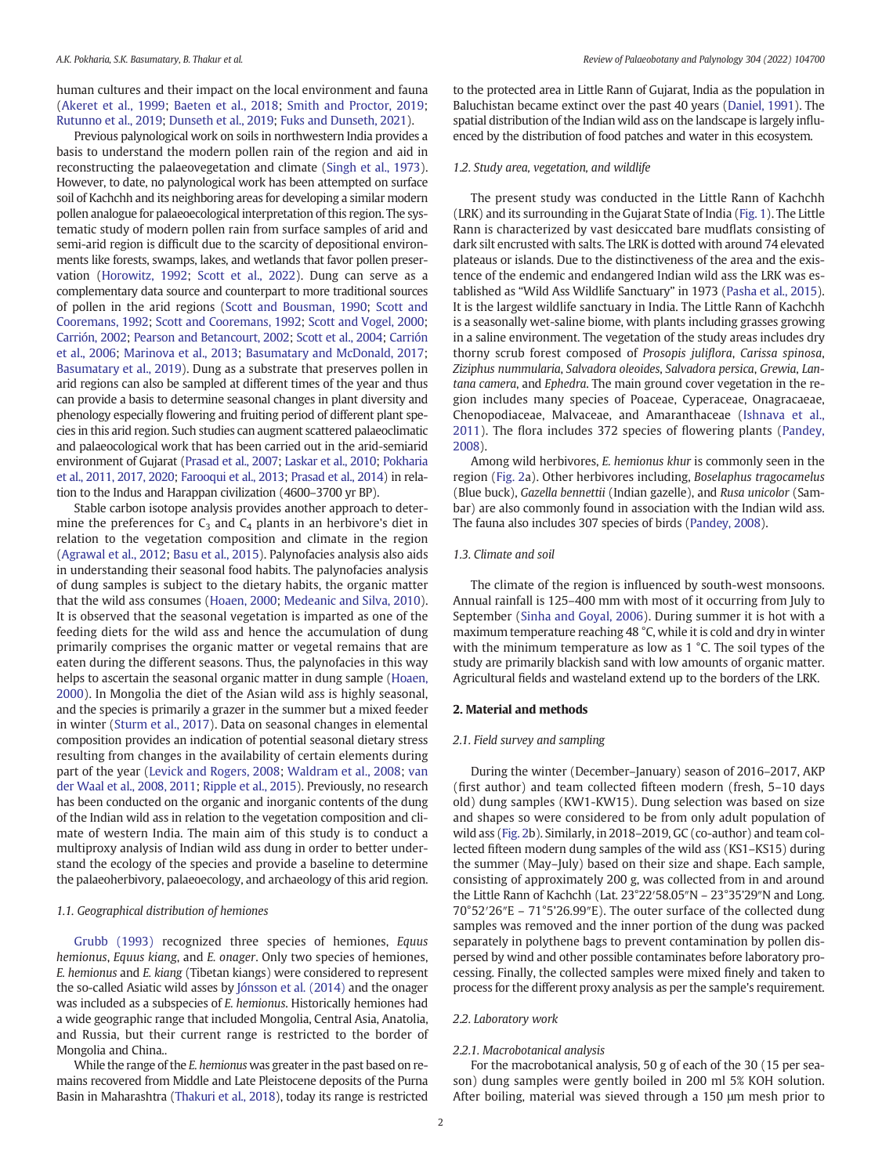human cultures and their impact on the local environment and fauna ([Akeret et al., 1999;](#page-10-0) [Baeten et al., 2018](#page-10-0); [Smith and Proctor, 2019](#page-11-0); [Rutunno et al., 2019](#page-11-0); [Dunseth et al., 2019;](#page-10-0) [Fuks and Dunseth, 2021\)](#page-10-0).

Previous palynological work on soils in northwestern India provides a basis to understand the modern pollen rain of the region and aid in reconstructing the palaeovegetation and climate ([Singh et al., 1973\)](#page-11-0). However, to date, no palynological work has been attempted on surface soil of Kachchh and its neighboring areas for developing a similar modern pollen analogue for palaeoecological interpretation of this region. The systematic study of modern pollen rain from surface samples of arid and semi-arid region is difficult due to the scarcity of depositional environments like forests, swamps, lakes, and wetlands that favor pollen preser-vation ([Horowitz, 1992](#page-10-0); [Scott et al., 2022\)](#page-11-0). Dung can serve as a complementary data source and counterpart to more traditional sources of pollen in the arid regions [\(Scott and Bousman, 1990;](#page-11-0) [Scott and](#page-11-0) [Cooremans, 1992](#page-11-0); [Scott and Cooremans, 1992](#page-11-0); [Scott and Vogel, 2000](#page-11-0); [Carrión, 2002;](#page-10-0) [Pearson and Betancourt, 2002;](#page-11-0) [Scott et al., 2004](#page-11-0); [Carrión](#page-10-0) [et al., 2006](#page-10-0); [Marinova et al., 2013;](#page-11-0) [Basumatary and McDonald, 2017](#page-10-0); [Basumatary et al., 2019\)](#page-10-0). Dung as a substrate that preserves pollen in arid regions can also be sampled at different times of the year and thus can provide a basis to determine seasonal changes in plant diversity and phenology especially flowering and fruiting period of different plant species in this arid region. Such studies can augment scattered palaeoclimatic and palaeocological work that has been carried out in the arid-semiarid environment of Gujarat [\(Prasad et al., 2007;](#page-11-0) [Laskar et al., 2010](#page-11-0); [Pokharia](#page-11-0) [et al., 2011, 2017, 2020;](#page-11-0) [Farooqui et al., 2013](#page-10-0); [Prasad et al., 2014\)](#page-11-0) in relation to the Indus and Harappan civilization (4600–3700 yr BP).

Stable carbon isotope analysis provides another approach to determine the preferences for  $C_3$  and  $C_4$  plants in an herbivore's diet in relation to the vegetation composition and climate in the region ([Agrawal et al., 2012](#page-10-0); [Basu et al., 2015\)](#page-10-0). Palynofacies analysis also aids in understanding their seasonal food habits. The palynofacies analysis of dung samples is subject to the dietary habits, the organic matter that the wild ass consumes ([Hoaen, 2000](#page-10-0); [Medeanic and Silva, 2010\)](#page-11-0). It is observed that the seasonal vegetation is imparted as one of the feeding diets for the wild ass and hence the accumulation of dung primarily comprises the organic matter or vegetal remains that are eaten during the different seasons. Thus, the palynofacies in this way helps to ascertain the seasonal organic matter in dung sample [\(Hoaen,](#page-10-0) [2000\)](#page-10-0). In Mongolia the diet of the Asian wild ass is highly seasonal, and the species is primarily a grazer in the summer but a mixed feeder in winter [\(Sturm et al., 2017\)](#page-11-0). Data on seasonal changes in elemental composition provides an indication of potential seasonal dietary stress resulting from changes in the availability of certain elements during part of the year ([Levick and Rogers, 2008](#page-11-0); [Waldram et al., 2008;](#page-12-0) [van](#page-11-0) [der Waal et al., 2008, 2011](#page-11-0); [Ripple et al., 2015](#page-11-0)). Previously, no research has been conducted on the organic and inorganic contents of the dung of the Indian wild ass in relation to the vegetation composition and climate of western India. The main aim of this study is to conduct a multiproxy analysis of Indian wild ass dung in order to better understand the ecology of the species and provide a baseline to determine the palaeoherbivory, palaeoecology, and archaeology of this arid region.

#### 1.1. Geographical distribution of hemiones

[Grubb \(1993\)](#page-10-0) recognized three species of hemiones, Equus hemionus, Equus kiang, and E. onager. Only two species of hemiones, E. hemionus and E. kiang (Tibetan kiangs) were considered to represent the so-called Asiatic wild asses by [Jónsson et al. \(2014\)](#page-10-0) and the onager was included as a subspecies of E. hemionus. Historically hemiones had a wide geographic range that included Mongolia, Central Asia, Anatolia, and Russia, but their current range is restricted to the border of Mongolia and China..

While the range of the E. hemionus was greater in the past based on remains recovered from Middle and Late Pleistocene deposits of the Purna Basin in Maharashtra [\(Thakuri et al., 2018\)](#page-11-0), today its range is restricted to the protected area in Little Rann of Gujarat, India as the population in Baluchistan became extinct over the past 40 years ([Daniel, 1991](#page-10-0)). The spatial distribution of the Indian wild ass on the landscape is largely influenced by the distribution of food patches and water in this ecosystem.

# 1.2. Study area, vegetation, and wildlife

The present study was conducted in the Little Rann of Kachchh (LRK) and its surrounding in the Gujarat State of India [\(Fig. 1\)](#page-2-0). The Little Rann is characterized by vast desiccated bare mudflats consisting of dark silt encrusted with salts. The LRK is dotted with around 74 elevated plateaus or islands. Due to the distinctiveness of the area and the existence of the endemic and endangered Indian wild ass the LRK was established as "Wild Ass Wildlife Sanctuary" in 1973 ([Pasha et al., 2015\)](#page-11-0). It is the largest wildlife sanctuary in India. The Little Rann of Kachchh is a seasonally wet-saline biome, with plants including grasses growing in a saline environment. The vegetation of the study areas includes dry thorny scrub forest composed of Prosopis juliflora, Carissa spinosa, Ziziphus nummularia, Salvadora oleoides, Salvadora persica, Grewia, Lantana camera, and Ephedra. The main ground cover vegetation in the region includes many species of Poaceae, Cyperaceae, Onagracaeae, Chenopodiaceae, Malvaceae, and Amaranthaceae [\(Ishnava et al.,](#page-10-0) [2011\)](#page-10-0). The flora includes 372 species of flowering plants [\(Pandey,](#page-11-0) [2008\)](#page-11-0).

Among wild herbivores, E. hemionus khur is commonly seen in the region [\(Fig. 2a](#page-3-0)). Other herbivores including, Boselaphus tragocamelus (Blue buck), Gazella bennettii (Indian gazelle), and Rusa unicolor (Sambar) are also commonly found in association with the Indian wild ass. The fauna also includes 307 species of birds [\(Pandey, 2008\)](#page-11-0).

# 1.3. Climate and soil

The climate of the region is influenced by south-west monsoons. Annual rainfall is 125–400 mm with most of it occurring from July to September ([Sinha and Goyal, 2006](#page-11-0)). During summer it is hot with a maximum temperature reaching 48 °C, while it is cold and dry in winter with the minimum temperature as low as 1 °C. The soil types of the study are primarily blackish sand with low amounts of organic matter. Agricultural fields and wasteland extend up to the borders of the LRK.

#### 2. Material and methods

# 2.1. Field survey and sampling

During the winter (December–January) season of 2016–2017, AKP (first author) and team collected fifteen modern (fresh, 5–10 days old) dung samples (KW1-KW15). Dung selection was based on size and shapes so were considered to be from only adult population of wild ass [\(Fig. 2](#page-3-0)b). Similarly, in 2018–2019, GC (co-author) and team collected fifteen modern dung samples of the wild ass (KS1–KS15) during the summer (May–July) based on their size and shape. Each sample, consisting of approximately 200 g, was collected from in and around the Little Rann of Kachchh (Lat. 23°22′58.05″N – 23°35'29″N and Long. 70°52′26″E – 71°5'26.99″E). The outer surface of the collected dung samples was removed and the inner portion of the dung was packed separately in polythene bags to prevent contamination by pollen dispersed by wind and other possible contaminates before laboratory processing. Finally, the collected samples were mixed finely and taken to process for the different proxy analysis as per the sample's requirement.

#### 2.2. Laboratory work

#### 2.2.1. Macrobotanical analysis

For the macrobotanical analysis, 50 g of each of the 30 (15 per season) dung samples were gently boiled in 200 ml 5% KOH solution. After boiling, material was sieved through a 150 μm mesh prior to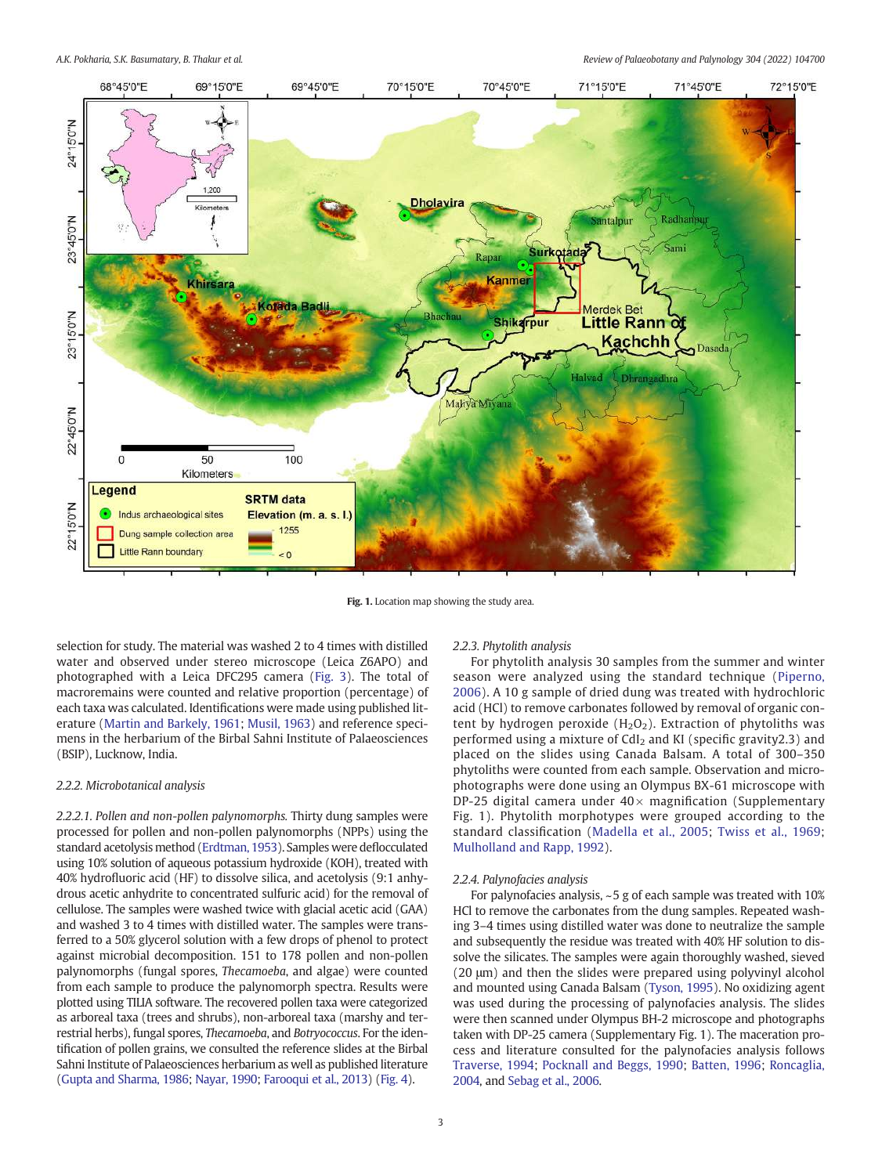<span id="page-2-0"></span>

Fig. 1. Location map showing the study area.

selection for study. The material was washed 2 to 4 times with distilled water and observed under stereo microscope (Leica Z6APO) and photographed with a Leica DFC295 camera ([Fig. 3](#page-4-0)). The total of macroremains were counted and relative proportion (percentage) of each taxa was calculated. Identifications were made using published literature [\(Martin and Barkely, 1961](#page-11-0); [Musil, 1963\)](#page-11-0) and reference specimens in the herbarium of the Birbal Sahni Institute of Palaeosciences (BSIP), Lucknow, India.

#### 2.2.2. Microbotanical analysis

2.2.2.1. Pollen and non-pollen palynomorphs. Thirty dung samples were processed for pollen and non-pollen palynomorphs (NPPs) using the standard acetolysis method ([Erdtman, 1953](#page-10-0)). Samples were deflocculated using 10% solution of aqueous potassium hydroxide (KOH), treated with 40% hydrofluoric acid (HF) to dissolve silica, and acetolysis (9:1 anhydrous acetic anhydrite to concentrated sulfuric acid) for the removal of cellulose. The samples were washed twice with glacial acetic acid (GAA) and washed 3 to 4 times with distilled water. The samples were transferred to a 50% glycerol solution with a few drops of phenol to protect against microbial decomposition. 151 to 178 pollen and non-pollen palynomorphs (fungal spores, Thecamoeba, and algae) were counted from each sample to produce the palynomorph spectra. Results were plotted using TILIA software. The recovered pollen taxa were categorized as arboreal taxa (trees and shrubs), non-arboreal taxa (marshy and terrestrial herbs), fungal spores, Thecamoeba, and Botryococcus. For the identification of pollen grains, we consulted the reference slides at the Birbal Sahni Institute of Palaeosciences herbarium as well as published literature [\(Gupta and Sharma, 1986](#page-10-0); [Nayar, 1990;](#page-11-0) [Farooqui et al., 2013](#page-10-0)) [\(Fig. 4](#page-5-0)).

# 2.2.3. Phytolith analysis

For phytolith analysis 30 samples from the summer and winter season were analyzed using the standard technique [\(Piperno,](#page-11-0) [2006](#page-11-0)). A 10 g sample of dried dung was treated with hydrochloric acid (HCl) to remove carbonates followed by removal of organic content by hydrogen peroxide  $(H_2O_2)$ . Extraction of phytoliths was performed using a mixture of  $CdI<sub>2</sub>$  and KI (specific gravity2.3) and placed on the slides using Canada Balsam. A total of 300–350 phytoliths were counted from each sample. Observation and microphotographs were done using an Olympus BX-61 microscope with DP-25 digital camera under  $40\times$  magnification (Supplementary Fig. 1). Phytolith morphotypes were grouped according to the standard classification ([Madella et al., 2005;](#page-11-0) [Twiss et al., 1969](#page-11-0); [Mulholland and Rapp, 1992](#page-11-0)).

#### 2.2.4. Palynofacies analysis

For palynofacies analysis, ~5 g of each sample was treated with 10% HCl to remove the carbonates from the dung samples. Repeated washing 3–4 times using distilled water was done to neutralize the sample and subsequently the residue was treated with 40% HF solution to dissolve the silicates. The samples were again thoroughly washed, sieved (20 μm) and then the slides were prepared using polyvinyl alcohol and mounted using Canada Balsam [\(Tyson, 1995\)](#page-11-0). No oxidizing agent was used during the processing of palynofacies analysis. The slides were then scanned under Olympus BH-2 microscope and photographs taken with DP-25 camera (Supplementary Fig. 1). The maceration process and literature consulted for the palynofacies analysis follows [Traverse, 1994;](#page-11-0) [Pocknall and Beggs, 1990](#page-11-0); [Batten, 1996](#page-10-0); [Roncaglia,](#page-11-0) [2004,](#page-11-0) and [Sebag et al., 2006.](#page-11-0)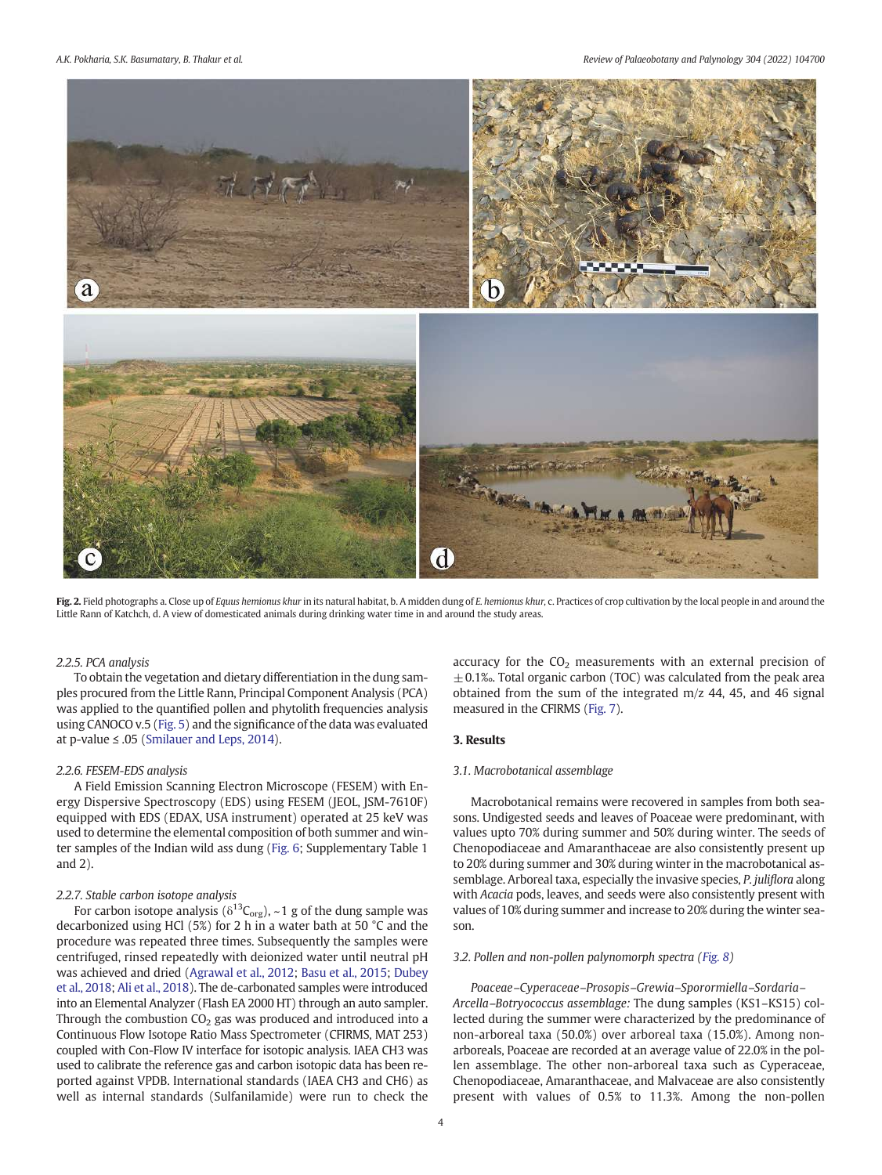<span id="page-3-0"></span>A.K. Pokharia, S.K. Basumatary, B. Thakur et al. Review of Palaeobotany and Palynology 304 (2022) 104700



Fig. 2. Field photographs a. Close up of Equus hemionus khur in its natural habitat, b. A midden dung of E. hemionus khur, c. Practices of crop cultivation by the local people in and around the Little Rann of Katchch, d. A view of domesticated animals during drinking water time in and around the study areas.

# 2.2.5. PCA analysis

To obtain the vegetation and dietary differentiation in the dung samples procured from the Little Rann, Principal Component Analysis (PCA) was applied to the quantified pollen and phytolith frequencies analysis using CANOCO v.5 ([Fig. 5\)](#page-6-0) and the significance of the data was evaluated at p-value ≤ .05 ([Smilauer and Leps, 2014](#page-11-0)).

#### 2.2.6. FESEM-EDS analysis

A Field Emission Scanning Electron Microscope (FESEM) with Energy Dispersive Spectroscopy (EDS) using FESEM (JEOL, JSM-7610F) equipped with EDS (EDAX, USA instrument) operated at 25 keV was used to determine the elemental composition of both summer and winter samples of the Indian wild ass dung [\(Fig. 6](#page-7-0); Supplementary Table 1 and 2).

#### 2.2.7. Stable carbon isotope analysis

For carbon isotope analysis ( $\delta^{13}C_{org}$ ), ~1 g of the dung sample was decarbonized using HCl (5%) for 2 h in a water bath at 50 °C and the procedure was repeated three times. Subsequently the samples were centrifuged, rinsed repeatedly with deionized water until neutral pH was achieved and dried [\(Agrawal et al., 2012;](#page-10-0) [Basu et al., 2015](#page-10-0); [Dubey](#page-10-0) [et al., 2018](#page-10-0); [Ali et al., 2018\)](#page-10-0). The de-carbonated samples were introduced into an Elemental Analyzer (Flash EA 2000 HT) through an auto sampler. Through the combustion  $CO<sub>2</sub>$  gas was produced and introduced into a Continuous Flow Isotope Ratio Mass Spectrometer (CFIRMS, MAT 253) coupled with Con-Flow IV interface for isotopic analysis. IAEA CH3 was used to calibrate the reference gas and carbon isotopic data has been reported against VPDB. International standards (IAEA CH3 and CH6) as well as internal standards (Sulfanilamide) were run to check the

accuracy for the  $CO<sub>2</sub>$  measurements with an external precision of  $\pm$  0.1‰. Total organic carbon (TOC) was calculated from the peak area obtained from the sum of the integrated m/z 44, 45, and 46 signal measured in the CFIRMS [\(Fig. 7\)](#page-8-0).

# 3. Results

# 3.1. Macrobotanical assemblage

Macrobotanical remains were recovered in samples from both seasons. Undigested seeds and leaves of Poaceae were predominant, with values upto 70% during summer and 50% during winter. The seeds of Chenopodiaceae and Amaranthaceae are also consistently present up to 20% during summer and 30% during winter in the macrobotanical assemblage. Arboreal taxa, especially the invasive species, P. juliflora along with Acacia pods, leaves, and seeds were also consistently present with values of 10% during summer and increase to 20% during the winter season.

# 3.2. Pollen and non-pollen palynomorph spectra ([Fig. 8](#page-9-0))

Poaceae–Cyperaceae–Prosopis–Grewia–Sporormiella–Sordaria– Arcella–Botryococcus assemblage: The dung samples (KS1–KS15) collected during the summer were characterized by the predominance of non-arboreal taxa (50.0%) over arboreal taxa (15.0%). Among nonarboreals, Poaceae are recorded at an average value of 22.0% in the pollen assemblage. The other non-arboreal taxa such as Cyperaceae, Chenopodiaceae, Amaranthaceae, and Malvaceae are also consistently present with values of 0.5% to 11.3%. Among the non-pollen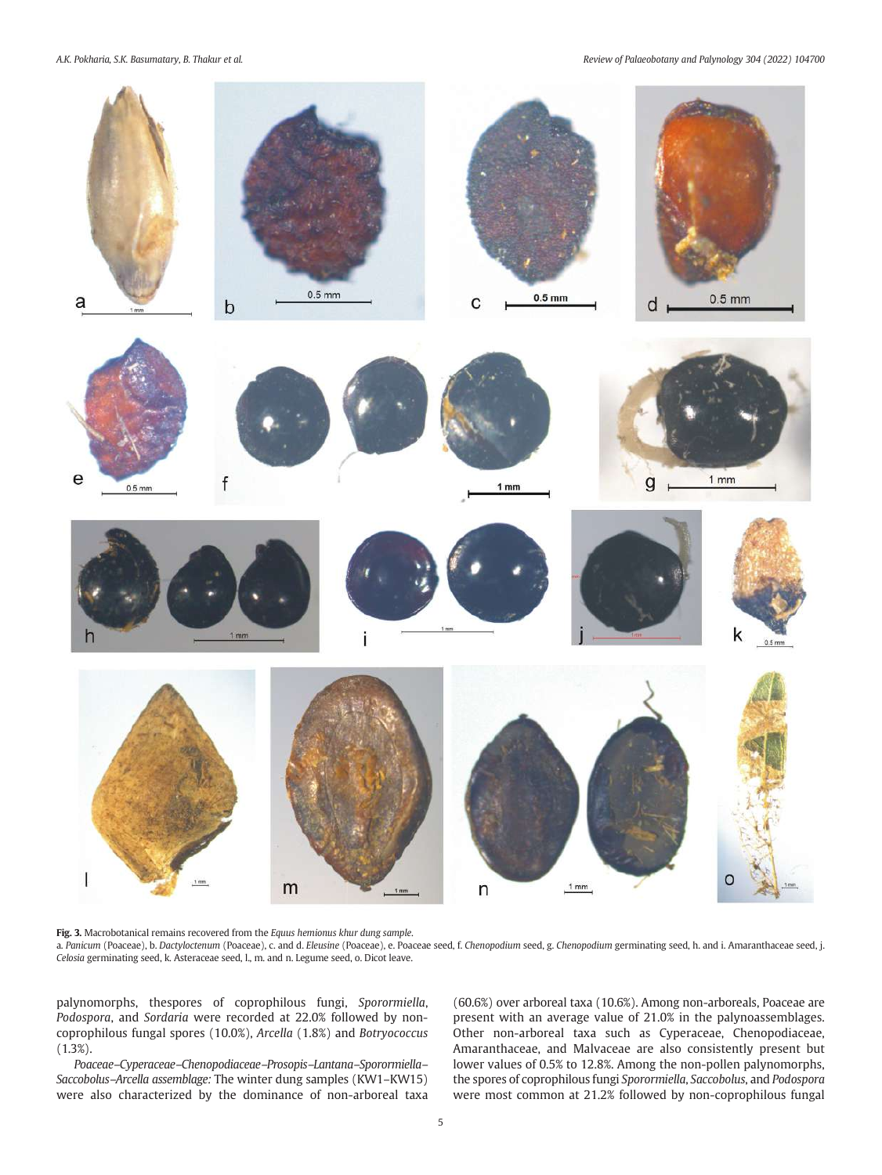<span id="page-4-0"></span>A.K. Pokharia, S.K. Basumatary, B. Thakur et al. Review of Palaeobotany and Palynology 304 (2022) 104700



Fig. 3. Macrobotanical remains recovered from the Equus hemionus khur dung sample. a. Panicum (Poaceae), b. Dactyloctenum (Poaceae), c. and d. Eleusine (Poaceae), e. Poaceae seed, f. Chenopodium seed, g. Chenopodium germinating seed, h. and i. Amaranthaceae seed, j. Celosia germinating seed, k. Asteraceae seed, l., m. and n. Legume seed, o. Dicot leave.

palynomorphs, thespores of coprophilous fungi, Sporormiella, Podospora, and Sordaria were recorded at 22.0% followed by noncoprophilous fungal spores (10.0%), Arcella (1.8%) and Botryococcus (1.3%).

Poaceae–Cyperaceae–Chenopodiaceae–Prosopis–Lantana–Sporormiella– Saccobolus–Arcella assemblage: The winter dung samples (KW1–KW15) were also characterized by the dominance of non-arboreal taxa (60.6%) over arboreal taxa (10.6%). Among non-arboreals, Poaceae are present with an average value of 21.0% in the palynoassemblages. Other non-arboreal taxa such as Cyperaceae, Chenopodiaceae, Amaranthaceae, and Malvaceae are also consistently present but lower values of 0.5% to 12.8%. Among the non-pollen palynomorphs, the spores of coprophilous fungi Sporormiella, Saccobolus, and Podospora were most common at 21.2% followed by non-coprophilous fungal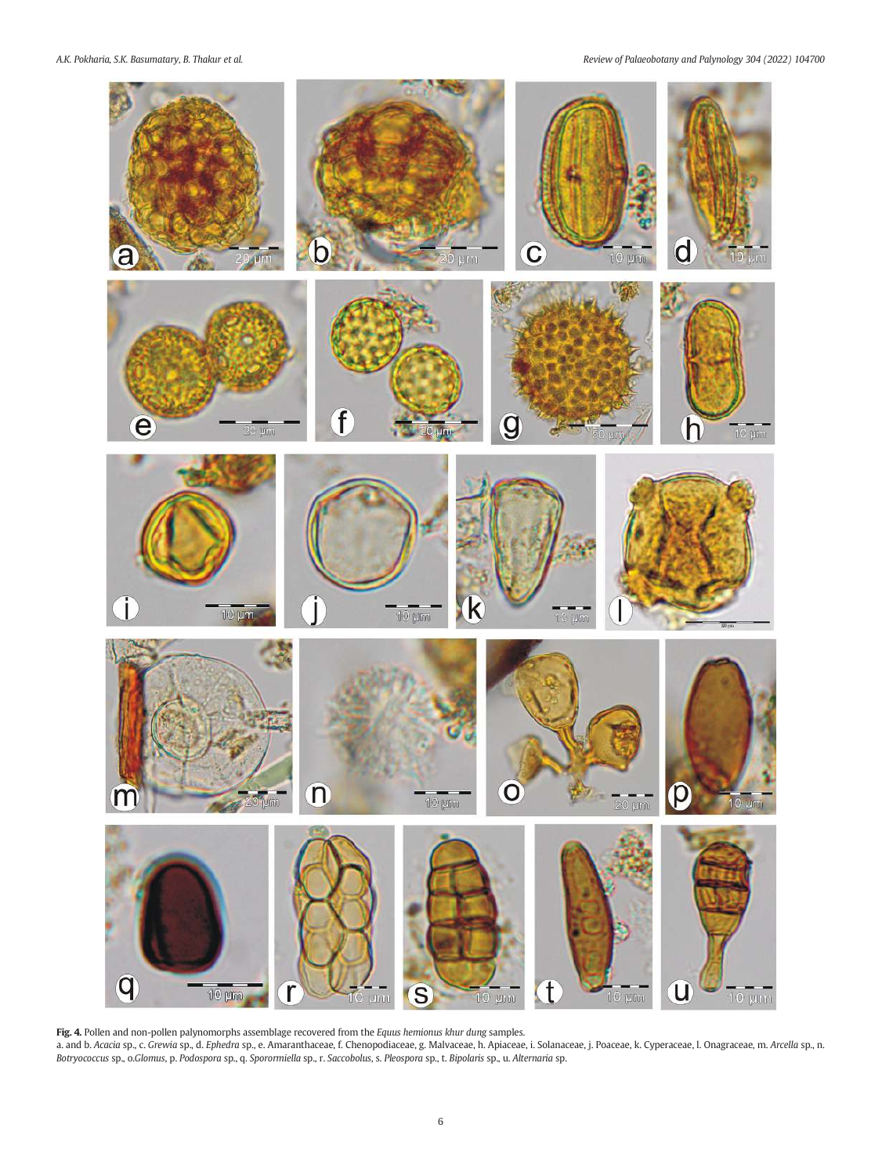<span id="page-5-0"></span>A.K. Pokharia, S.K. Basumatary, B. Thakur et al. Review of Palaeobotany and Palynology 304 (2022) 104700



Fig. 4. Pollen and non-pollen palynomorphs assemblage recovered from the Equus hemionus khur dung samples. a. and b. Acacia sp., c. Grewia sp., d. Ephedra sp., e. Amaranthaceae, f. Chenopodiaceae, g. Malvaceae, h. Apiaceae, i. Solanaceae, j. Poaceae, k. Cyperaceae, l. Onagraceae, m. Arcella sp., n. Botryococcus sp., o.Glomus, p. Podospora sp., q. Sporormiella sp., r. Saccobolus, s. Pleospora sp., t. Bipolaris sp., u. Alternaria sp.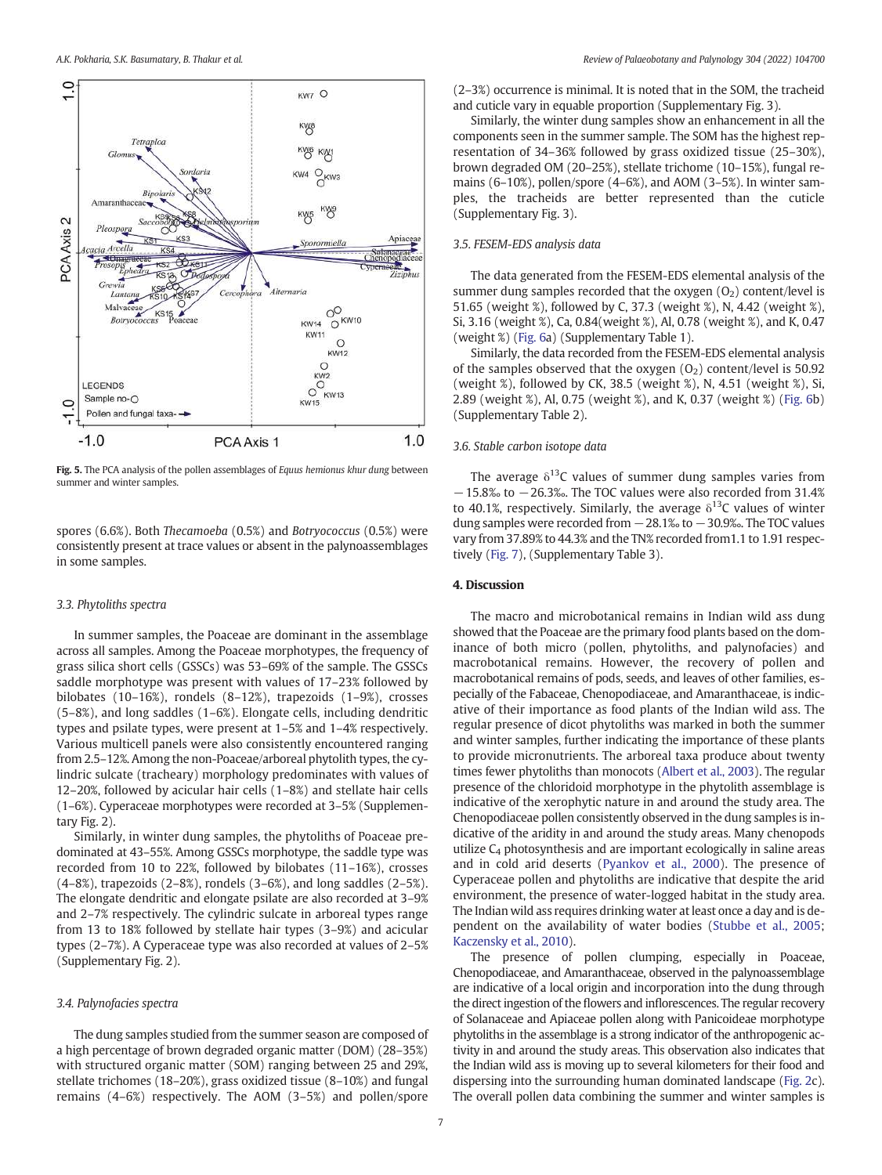<span id="page-6-0"></span>

Fig. 5. The PCA analysis of the pollen assemblages of Equus hemionus khur dung between summer and winter samples.

spores (6.6%). Both Thecamoeba (0.5%) and Botryococcus (0.5%) were consistently present at trace values or absent in the palynoassemblages in some samples.

#### 3.3. Phytoliths spectra

In summer samples, the Poaceae are dominant in the assemblage across all samples. Among the Poaceae morphotypes, the frequency of grass silica short cells (GSSCs) was 53–69% of the sample. The GSSCs saddle morphotype was present with values of 17–23% followed by bilobates (10–16%), rondels (8–12%), trapezoids (1–9%), crosses (5–8%), and long saddles (1–6%). Elongate cells, including dendritic types and psilate types, were present at 1–5% and 1–4% respectively. Various multicell panels were also consistently encountered ranging from 2.5–12%. Among the non-Poaceae/arboreal phytolith types, the cylindric sulcate (tracheary) morphology predominates with values of 12–20%, followed by acicular hair cells (1–8%) and stellate hair cells (1–6%). Cyperaceae morphotypes were recorded at 3–5% (Supplementary Fig. 2).

Similarly, in winter dung samples, the phytoliths of Poaceae predominated at 43–55%. Among GSSCs morphotype, the saddle type was recorded from 10 to 22%, followed by bilobates (11–16%), crosses (4–8%), trapezoids (2–8%), rondels (3–6%), and long saddles (2–5%). The elongate dendritic and elongate psilate are also recorded at 3–9% and 2–7% respectively. The cylindric sulcate in arboreal types range from 13 to 18% followed by stellate hair types (3–9%) and acicular types (2–7%). A Cyperaceae type was also recorded at values of 2–5% (Supplementary Fig. 2).

### 3.4. Palynofacies spectra

The dung samples studied from the summer season are composed of a high percentage of brown degraded organic matter (DOM) (28–35%) with structured organic matter (SOM) ranging between 25 and 29%, stellate trichomes (18–20%), grass oxidized tissue (8–10%) and fungal remains (4–6%) respectively. The AOM (3–5%) and pollen/spore

(2–3%) occurrence is minimal. It is noted that in the SOM, the tracheid and cuticle vary in equable proportion (Supplementary Fig. 3).

Similarly, the winter dung samples show an enhancement in all the components seen in the summer sample. The SOM has the highest representation of 34–36% followed by grass oxidized tissue (25–30%), brown degraded OM (20–25%), stellate trichome (10–15%), fungal remains (6–10%), pollen/spore (4–6%), and AOM (3–5%). In winter samples, the tracheids are better represented than the cuticle (Supplementary Fig. 3).

# 3.5. FESEM-EDS analysis data

The data generated from the FESEM-EDS elemental analysis of the summer dung samples recorded that the oxygen  $(0<sub>2</sub>)$  content/level is 51.65 (weight %), followed by C, 37.3 (weight %), N, 4.42 (weight %), Si, 3.16 (weight %), Ca, 0.84(weight %), Al, 0.78 (weight %), and K, 0.47 (weight %) [\(Fig. 6a](#page-7-0)) (Supplementary Table 1).

Similarly, the data recorded from the FESEM-EDS elemental analysis of the samples observed that the oxygen  $(0<sub>2</sub>)$  content/level is 50.92 (weight %), followed by CK, 38.5 (weight %), N, 4.51 (weight %), Si, 2.89 (weight %), Al, 0.75 (weight %), and K, 0.37 (weight %) ([Fig. 6](#page-7-0)b) (Supplementary Table 2).

# 3.6. Stable carbon isotope data

The average  $\delta^{13}$ C values of summer dung samples varies from −15.8‰ to −26.3‰. The TOC values were also recorded from 31.4% to 40.1%, respectively. Similarly, the average  $\delta^{13}$ C values of winter dung samples were recorded from −28.1‰ to −30.9‰. The TOC values vary from 37.89% to 44.3% and the TN% recorded from1.1 to 1.91 respectively [\(Fig. 7](#page-8-0)), (Supplementary Table 3).

# 4. Discussion

The macro and microbotanical remains in Indian wild ass dung showed that the Poaceae are the primary food plants based on the dominance of both micro (pollen, phytoliths, and palynofacies) and macrobotanical remains. However, the recovery of pollen and macrobotanical remains of pods, seeds, and leaves of other families, especially of the Fabaceae, Chenopodiaceae, and Amaranthaceae, is indicative of their importance as food plants of the Indian wild ass. The regular presence of dicot phytoliths was marked in both the summer and winter samples, further indicating the importance of these plants to provide micronutrients. The arboreal taxa produce about twenty times fewer phytoliths than monocots [\(Albert et al., 2003](#page-10-0)). The regular presence of the chloridoid morphotype in the phytolith assemblage is indicative of the xerophytic nature in and around the study area. The Chenopodiaceae pollen consistently observed in the dung samples is indicative of the aridity in and around the study areas. Many chenopods utilize  $C_4$  photosynthesis and are important ecologically in saline areas and in cold arid deserts [\(Pyankov et al., 2000](#page-11-0)). The presence of Cyperaceae pollen and phytoliths are indicative that despite the arid environment, the presence of water-logged habitat in the study area. The Indian wild ass requires drinking water at least once a day and is dependent on the availability of water bodies ([Stubbe et al., 2005](#page-11-0); [Kaczensky et al., 2010\)](#page-10-0).

The presence of pollen clumping, especially in Poaceae, Chenopodiaceae, and Amaranthaceae, observed in the palynoassemblage are indicative of a local origin and incorporation into the dung through the direct ingestion of the flowers and inflorescences. The regular recovery of Solanaceae and Apiaceae pollen along with Panicoideae morphotype phytoliths in the assemblage is a strong indicator of the anthropogenic activity in and around the study areas. This observation also indicates that the Indian wild ass is moving up to several kilometers for their food and dispersing into the surrounding human dominated landscape ([Fig. 2](#page-3-0)c). The overall pollen data combining the summer and winter samples is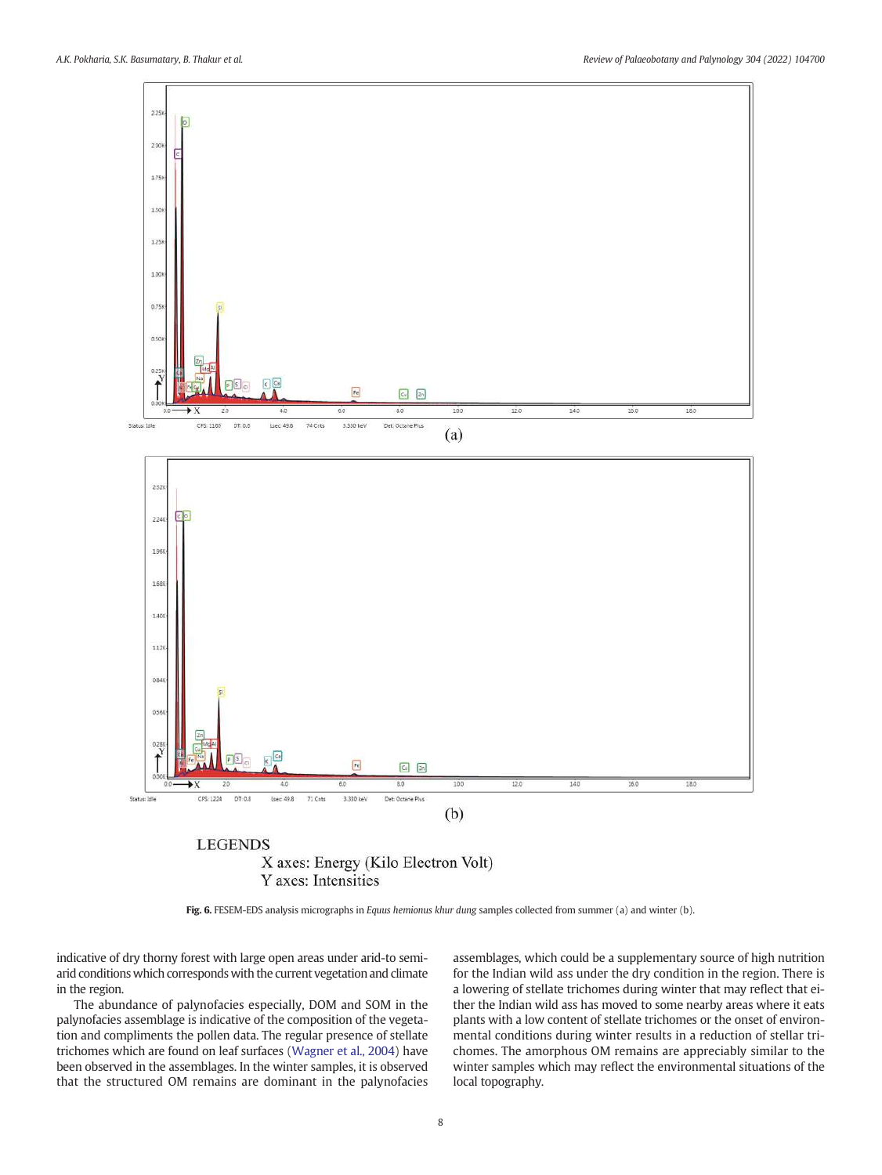<span id="page-7-0"></span>

Y axes: Intensities

Fig. 6. FESEM-EDS analysis micrographs in Equus hemionus khur dung samples collected from summer (a) and winter (b).

indicative of dry thorny forest with large open areas under arid-to semiarid conditions which corresponds with the current vegetation and climate in the region.

The abundance of palynofacies especially, DOM and SOM in the palynofacies assemblage is indicative of the composition of the vegetation and compliments the pollen data. The regular presence of stellate trichomes which are found on leaf surfaces [\(Wagner et al., 2004\)](#page-11-0) have been observed in the assemblages. In the winter samples, it is observed that the structured OM remains are dominant in the palynofacies assemblages, which could be a supplementary source of high nutrition for the Indian wild ass under the dry condition in the region. There is a lowering of stellate trichomes during winter that may reflect that either the Indian wild ass has moved to some nearby areas where it eats plants with a low content of stellate trichomes or the onset of environmental conditions during winter results in a reduction of stellar trichomes. The amorphous OM remains are appreciably similar to the winter samples which may reflect the environmental situations of the local topography.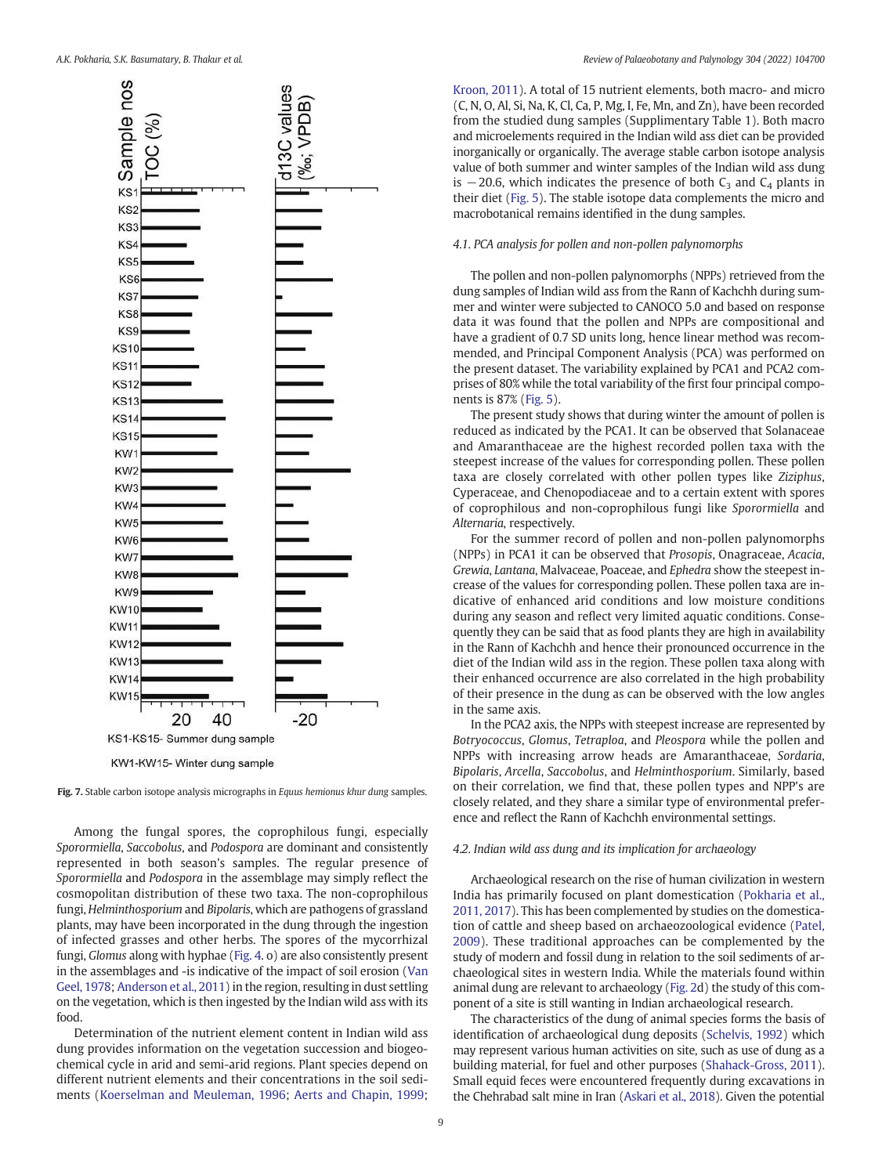<span id="page-8-0"></span>

Fig. 7. Stable carbon isotope analysis micrographs in Equus hemionus khur dung samples.

Among the fungal spores, the coprophilous fungi, especially Sporormiella, Saccobolus, and Podospora are dominant and consistently represented in both season's samples. The regular presence of Sporormiella and Podospora in the assemblage may simply reflect the cosmopolitan distribution of these two taxa. The non-coprophilous fungi, Helminthosporium and Bipolaris, which are pathogens of grassland plants, may have been incorporated in the dung through the ingestion of infected grasses and other herbs. The spores of the mycorrhizal fungi, Glomus along with hyphae [\(Fig. 4](#page-5-0). o) are also consistently present in the assemblages and -is indicative of the impact of soil erosion [\(Van](#page-11-0) [Geel, 1978;](#page-11-0) [Anderson et al., 2011](#page-10-0)) in the region, resulting in dust settling on the vegetation, which is then ingested by the Indian wild ass with its food.

Determination of the nutrient element content in Indian wild ass dung provides information on the vegetation succession and biogeochemical cycle in arid and semi-arid regions. Plant species depend on different nutrient elements and their concentrations in the soil sediments ([Koerselman and Meuleman, 1996](#page-10-0); [Aerts and Chapin, 1999](#page-10-0); [Kroon, 2011](#page-11-0)). A total of 15 nutrient elements, both macro- and micro (C, N, O, Al, Si, Na, K, Cl, Ca, P, Mg, I, Fe, Mn, and Zn), have been recorded from the studied dung samples (Supplimentary Table 1). Both macro and microelements required in the Indian wild ass diet can be provided inorganically or organically. The average stable carbon isotope analysis value of both summer and winter samples of the Indian wild ass dung is  $-20.6$ , which indicates the presence of both C<sub>3</sub> and C<sub>4</sub> plants in their diet [\(Fig. 5\)](#page-6-0). The stable isotope data complements the micro and macrobotanical remains identified in the dung samples.

#### 4.1. PCA analysis for pollen and non-pollen palynomorphs

The pollen and non-pollen palynomorphs (NPPs) retrieved from the dung samples of Indian wild ass from the Rann of Kachchh during summer and winter were subjected to CANOCO 5.0 and based on response data it was found that the pollen and NPPs are compositional and have a gradient of 0.7 SD units long, hence linear method was recommended, and Principal Component Analysis (PCA) was performed on the present dataset. The variability explained by PCA1 and PCA2 comprises of 80% while the total variability of the first four principal components is 87% ([Fig. 5\)](#page-6-0).

The present study shows that during winter the amount of pollen is reduced as indicated by the PCA1. It can be observed that Solanaceae and Amaranthaceae are the highest recorded pollen taxa with the steepest increase of the values for corresponding pollen. These pollen taxa are closely correlated with other pollen types like Ziziphus, Cyperaceae, and Chenopodiaceae and to a certain extent with spores of coprophilous and non-coprophilous fungi like Sporormiella and Alternaria, respectively.

For the summer record of pollen and non-pollen palynomorphs (NPPs) in PCA1 it can be observed that Prosopis, Onagraceae, Acacia, Grewia, Lantana, Malvaceae, Poaceae, and Ephedra show the steepest increase of the values for corresponding pollen. These pollen taxa are indicative of enhanced arid conditions and low moisture conditions during any season and reflect very limited aquatic conditions. Consequently they can be said that as food plants they are high in availability in the Rann of Kachchh and hence their pronounced occurrence in the diet of the Indian wild ass in the region. These pollen taxa along with their enhanced occurrence are also correlated in the high probability of their presence in the dung as can be observed with the low angles in the same axis.

In the PCA2 axis, the NPPs with steepest increase are represented by Botryococcus, Glomus, Tetraploa, and Pleospora while the pollen and NPPs with increasing arrow heads are Amaranthaceae, Sordaria, Bipolaris, Arcella, Saccobolus, and Helminthosporium. Similarly, based on their correlation, we find that, these pollen types and NPP's are closely related, and they share a similar type of environmental preference and reflect the Rann of Kachchh environmental settings.

# 4.2. Indian wild ass dung and its implication for archaeology

Archaeological research on the rise of human civilization in western India has primarily focused on plant domestication [\(Pokharia et al.,](#page-11-0) [2011, 2017](#page-11-0)). This has been complemented by studies on the domestication of cattle and sheep based on archaeozoological evidence [\(Patel,](#page-11-0) [2009\)](#page-11-0). These traditional approaches can be complemented by the study of modern and fossil dung in relation to the soil sediments of archaeological sites in western India. While the materials found within animal dung are relevant to archaeology ([Fig. 2d](#page-3-0)) the study of this component of a site is still wanting in Indian archaeological research.

The characteristics of the dung of animal species forms the basis of identification of archaeological dung deposits [\(Schelvis, 1992\)](#page-11-0) which may represent various human activities on site, such as use of dung as a building material, for fuel and other purposes ([Shahack-Gross, 2011\)](#page-11-0). Small equid feces were encountered frequently during excavations in the Chehrabad salt mine in Iran ([Askari et al., 2018](#page-10-0)). Given the potential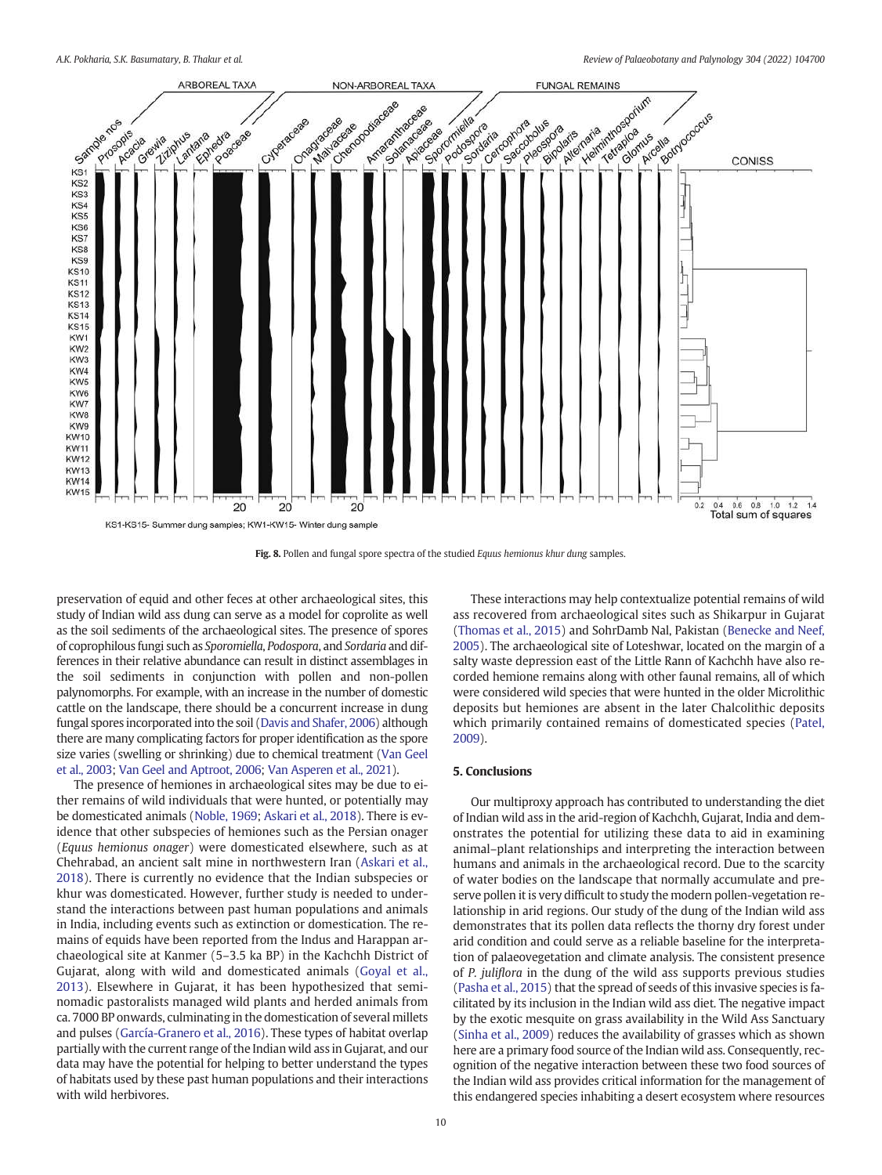<span id="page-9-0"></span>

Fig. 8. Pollen and fungal spore spectra of the studied Equus hemionus khur dung samples.

preservation of equid and other feces at other archaeological sites, this study of Indian wild ass dung can serve as a model for coprolite as well as the soil sediments of the archaeological sites. The presence of spores of coprophilous fungi such as Sporomiella, Podospora, and Sordaria and differences in their relative abundance can result in distinct assemblages in the soil sediments in conjunction with pollen and non-pollen palynomorphs. For example, with an increase in the number of domestic cattle on the landscape, there should be a concurrent increase in dung fungal spores incorporated into the soil [\(Davis and Shafer, 2006](#page-10-0)) although there are many complicating factors for proper identification as the spore size varies (swelling or shrinking) due to chemical treatment ([Van Geel](#page-11-0) [et al., 2003;](#page-11-0) [Van Geel and Aptroot, 2006](#page-11-0); [Van Asperen et al., 2021\)](#page-11-0).

The presence of hemiones in archaeological sites may be due to either remains of wild individuals that were hunted, or potentially may be domesticated animals [\(Noble, 1969;](#page-11-0) [Askari et al., 2018\)](#page-10-0). There is evidence that other subspecies of hemiones such as the Persian onager (Equus hemionus onager) were domesticated elsewhere, such as at Chehrabad, an ancient salt mine in northwestern Iran ([Askari et al.,](#page-10-0) [2018\)](#page-10-0). There is currently no evidence that the Indian subspecies or khur was domesticated. However, further study is needed to understand the interactions between past human populations and animals in India, including events such as extinction or domestication. The remains of equids have been reported from the Indus and Harappan archaeological site at Kanmer (5–3.5 ka BP) in the Kachchh District of Gujarat, along with wild and domesticated animals [\(Goyal et al.,](#page-10-0) [2013\)](#page-10-0). Elsewhere in Gujarat, it has been hypothesized that seminomadic pastoralists managed wild plants and herded animals from ca. 7000 BP onwards, culminating in the domestication of several millets and pulses [\(García-Granero et al., 2016\)](#page-10-0). These types of habitat overlap partially with the current range of the Indian wild ass in Gujarat, and our data may have the potential for helping to better understand the types of habitats used by these past human populations and their interactions with wild herbivores.

These interactions may help contextualize potential remains of wild ass recovered from archaeological sites such as Shikarpur in Gujarat ([Thomas et al., 2015\)](#page-11-0) and SohrDamb Nal, Pakistan ([Benecke and Neef,](#page-10-0) [2005\)](#page-10-0). The archaeological site of Loteshwar, located on the margin of a salty waste depression east of the Little Rann of Kachchh have also recorded hemione remains along with other faunal remains, all of which were considered wild species that were hunted in the older Microlithic deposits but hemiones are absent in the later Chalcolithic deposits which primarily contained remains of domesticated species [\(Patel,](#page-11-0) [2009\)](#page-11-0).

# 5. Conclusions

Our multiproxy approach has contributed to understanding the diet of Indian wild ass in the arid-region of Kachchh, Gujarat, India and demonstrates the potential for utilizing these data to aid in examining animal–plant relationships and interpreting the interaction between humans and animals in the archaeological record. Due to the scarcity of water bodies on the landscape that normally accumulate and preserve pollen it is very difficult to study the modern pollen-vegetation relationship in arid regions. Our study of the dung of the Indian wild ass demonstrates that its pollen data reflects the thorny dry forest under arid condition and could serve as a reliable baseline for the interpretation of palaeovegetation and climate analysis. The consistent presence of P. juliflora in the dung of the wild ass supports previous studies ([Pasha et al., 2015](#page-11-0)) that the spread of seeds of this invasive species is facilitated by its inclusion in the Indian wild ass diet. The negative impact by the exotic mesquite on grass availability in the Wild Ass Sanctuary ([Sinha et al., 2009\)](#page-11-0) reduces the availability of grasses which as shown here are a primary food source of the Indian wild ass. Consequently, recognition of the negative interaction between these two food sources of the Indian wild ass provides critical information for the management of this endangered species inhabiting a desert ecosystem where resources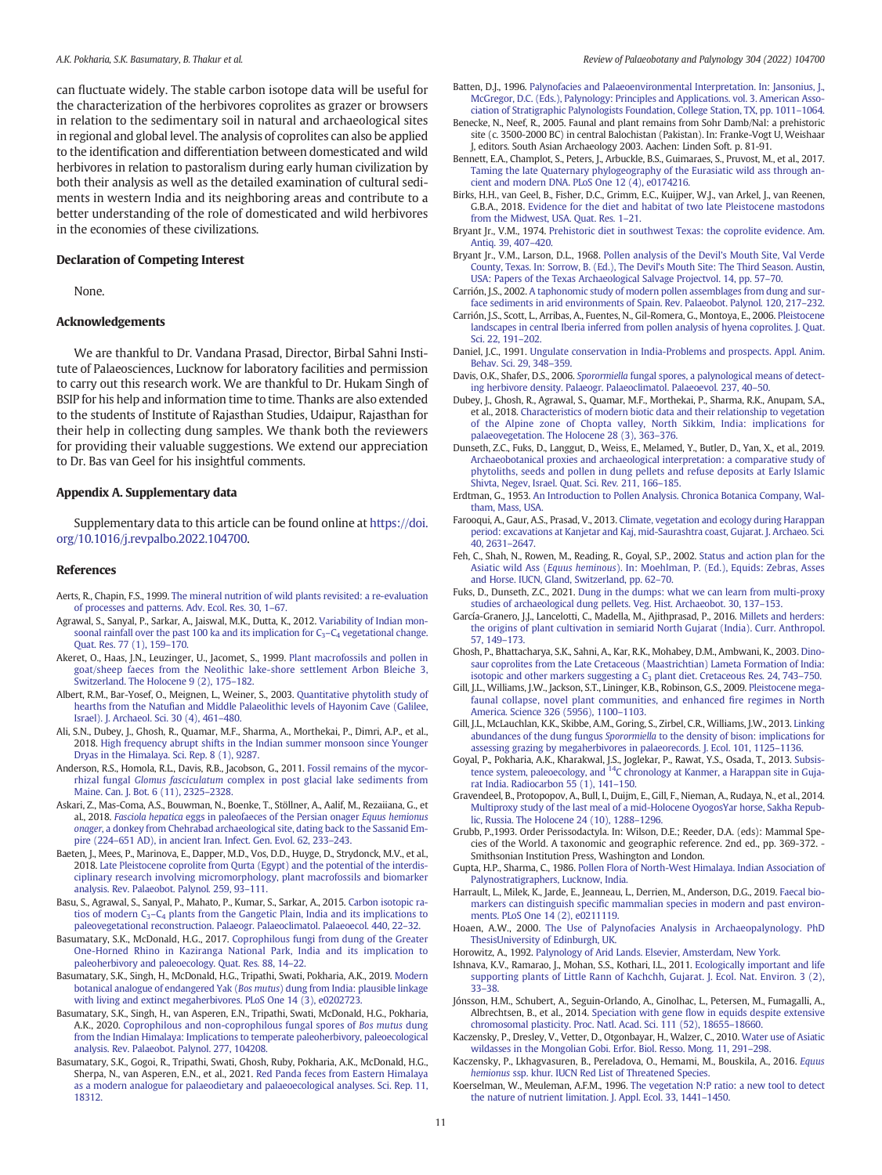<span id="page-10-0"></span>can fluctuate widely. The stable carbon isotope data will be useful for the characterization of the herbivores coprolites as grazer or browsers in relation to the sedimentary soil in natural and archaeological sites in regional and global level. The analysis of coprolites can also be applied to the identification and differentiation between domesticated and wild herbivores in relation to pastoralism during early human civilization by both their analysis as well as the detailed examination of cultural sediments in western India and its neighboring areas and contribute to a better understanding of the role of domesticated and wild herbivores in the economies of these civilizations.

# Declaration of Competing Interest

None.

# Acknowledgements

We are thankful to Dr. Vandana Prasad, Director, Birbal Sahni Institute of Palaeosciences, Lucknow for laboratory facilities and permission to carry out this research work. We are thankful to Dr. Hukam Singh of BSIP for his help and information time to time. Thanks are also extended to the students of Institute of Rajasthan Studies, Udaipur, Rajasthan for their help in collecting dung samples. We thank both the reviewers for providing their valuable suggestions. We extend our appreciation to Dr. Bas van Geel for his insightful comments.

# Appendix A. Supplementary data

Supplementary data to this article can be found online at [https://doi.](https://doi.org/10.1016/j.revpalbo.2022.104700) [org/10.1016/j.revpalbo.2022.104700.](https://doi.org/10.1016/j.revpalbo.2022.104700)

#### References

- Aerts, R., Chapin, F.S., 1999. [The mineral nutrition of wild plants revisited: a re-evaluation](http://refhub.elsevier.com/S0034-6667(22)00098-7/rf0005) [of processes and patterns. Adv. Ecol. Res. 30, 1](http://refhub.elsevier.com/S0034-6667(22)00098-7/rf0005)–67.
- Agrawal, S., Sanyal, P., Sarkar, A., Jaiswal, M.K., Dutta, K., 2012. [Variability of Indian mon](http://refhub.elsevier.com/S0034-6667(22)00098-7/rf0010)soonal rainfall over the past 100 ka and its implication for  $C_3 - C_4$  [vegetational change.](http://refhub.elsevier.com/S0034-6667(22)00098-7/rf0010) [Quat. Res. 77 \(1\), 159](http://refhub.elsevier.com/S0034-6667(22)00098-7/rf0010)–170.
- Akeret, O., Haas, J.N., Leuzinger, U., Jacomet, S., 1999. [Plant macrofossils and pollen in](http://refhub.elsevier.com/S0034-6667(22)00098-7/rf0015) [goat/sheep faeces from the Neolithic lake-shore settlement Arbon Bleiche 3,](http://refhub.elsevier.com/S0034-6667(22)00098-7/rf0015) [Switzerland. The Holocene 9 \(2\), 175](http://refhub.elsevier.com/S0034-6667(22)00098-7/rf0015)–182.
- Albert, R.M., Bar-Yosef, O., Meignen, L., Weiner, S., 2003. [Quantitative phytolith study of](http://refhub.elsevier.com/S0034-6667(22)00098-7/rf0020) hearths from the Natufi[an and Middle Palaeolithic levels of Hayonim Cave \(Galilee,](http://refhub.elsevier.com/S0034-6667(22)00098-7/rf0020) [Israel\). J. Archaeol. Sci. 30 \(4\), 461](http://refhub.elsevier.com/S0034-6667(22)00098-7/rf0020)–480.
- Ali, S.N., Dubey, J., Ghosh, R., Quamar, M.F., Sharma, A., Morthekai, P., Dimri, A.P., et al., 2018. [High frequency abrupt shifts in the Indian summer monsoon since Younger](http://refhub.elsevier.com/S0034-6667(22)00098-7/rf0025) [Dryas in the Himalaya. Sci. Rep. 8 \(1\), 9287.](http://refhub.elsevier.com/S0034-6667(22)00098-7/rf0025)
- Anderson, R.S., Homola, R.L., Davis, R.B., Jacobson, G., 2011. [Fossil remains of the mycor](http://refhub.elsevier.com/S0034-6667(22)00098-7/rf0030)rhizal fungal Glomus fasciculatum [complex in post glacial lake sediments from](http://refhub.elsevier.com/S0034-6667(22)00098-7/rf0030) [Maine. Can. J. Bot. 6 \(11\), 2325](http://refhub.elsevier.com/S0034-6667(22)00098-7/rf0030)–2328.
- Askari, Z., Mas-Coma, A.S., Bouwman, N., Boenke, T., Stöllner, A., Aalif, M., Rezaiiana, G., et al., 2018. Fasciola hepatica [eggs in paleofaeces of the Persian onager](http://refhub.elsevier.com/S0034-6667(22)00098-7/rf0035) Equus hemionus onager[, a donkey from Chehrabad archaeological site, dating back to the Sassanid Em](http://refhub.elsevier.com/S0034-6667(22)00098-7/rf0035)pire (224–[651 AD\), in ancient Iran. Infect. Gen. Evol. 62, 233](http://refhub.elsevier.com/S0034-6667(22)00098-7/rf0035)–243.
- Baeten, J., Mees, P., Marinova, E., Dapper, M.D., Vos, D.D., Huyge, D., Strydonck, M.V., et al., 2018. [Late Pleistocene coprolite from Qurta \(Egypt\) and the potential of the interdis](http://refhub.elsevier.com/S0034-6667(22)00098-7/rf0040)[ciplinary research involving micromorphology, plant macrofossils and biomarker](http://refhub.elsevier.com/S0034-6667(22)00098-7/rf0040) [analysis. Rev. Palaeobot. Palynol](http://refhub.elsevier.com/S0034-6667(22)00098-7/rf0040). 259, 93–111.
- Basu, S., Agrawal, S., Sanyal, P., Mahato, P., Kumar, S., Sarkar, A., 2015. [Carbon isotopic ra](http://refhub.elsevier.com/S0034-6667(22)00098-7/rf0045)tios of modern  $C_3 - C_4$  [plants from the Gangetic Plain, India and its implications to](http://refhub.elsevier.com/S0034-6667(22)00098-7/rf0045) [paleovegetational reconstruction. Palaeogr. Palaeoclimatol. Palaeoecol. 440, 22](http://refhub.elsevier.com/S0034-6667(22)00098-7/rf0045)–32.
- Basumatary, S.K., McDonald, H.G., 2017. [Coprophilous fungi from dung of the Greater](http://refhub.elsevier.com/S0034-6667(22)00098-7/rf0050) [One-Horned Rhino in Kaziranga National Park, India and its implication to](http://refhub.elsevier.com/S0034-6667(22)00098-7/rf0050) [paleoherbivory and paleoecology. Quat. Res](http://refhub.elsevier.com/S0034-6667(22)00098-7/rf0050). 88, 14–22.
- Basumatary, S.K., Singh, H., McDonald, H.G., Tripathi, Swati, Pokharia, A.K., 2019. [Modern](http://refhub.elsevier.com/S0034-6667(22)00098-7/rf0055) [botanical analogue of endangered Yak \(](http://refhub.elsevier.com/S0034-6667(22)00098-7/rf0055)Bos mutus) dung from India: plausible linkage [with living and extinct megaherbivores. PLoS One 14 \(3\), e0202723](http://refhub.elsevier.com/S0034-6667(22)00098-7/rf0055).
- Basumatary, S.K., Singh, H., van Asperen, E.N., Tripathi, Swati, McDonald, H.G., Pokharia, A.K., 2020. [Coprophilous and non-coprophilous fungal spores of](http://refhub.elsevier.com/S0034-6667(22)00098-7/rf0060) Bos mutus dung [from the Indian Himalaya: Implications to temperate paleoherbivory, paleoecological](http://refhub.elsevier.com/S0034-6667(22)00098-7/rf0060) [analysis. Rev. Palaeobot. Palynol. 277, 104208](http://refhub.elsevier.com/S0034-6667(22)00098-7/rf0060).
- Basumatary, S.K., Gogoi, R., Tripathi, Swati, Ghosh, Ruby, Pokharia, A.K., McDonald, H.G., Sherpa, N., van Asperen, E.N., et al., 2021. [Red Panda feces from Eastern Himalaya](http://refhub.elsevier.com/S0034-6667(22)00098-7/rf0065) [as a modern analogue for palaeodietary and palaeoecological analyses. Sci. Rep. 11,](http://refhub.elsevier.com/S0034-6667(22)00098-7/rf0065) [18312.](http://refhub.elsevier.com/S0034-6667(22)00098-7/rf0065)
- Batten, D.J., 1996. [Palynofacies and Palaeoenvironmental Interpretation. In: Jansonius, J.,](http://refhub.elsevier.com/S0034-6667(22)00098-7/rf0070) [McGregor, D.C. \(Eds.\), Palynology: Principles and Applications. vol. 3. American Asso](http://refhub.elsevier.com/S0034-6667(22)00098-7/rf0070)[ciation of Stratigraphic Palynologists Foundation, College Station, TX, pp. 1011](http://refhub.elsevier.com/S0034-6667(22)00098-7/rf0070)–1064.
- Benecke, N., Neef, R., 2005. Faunal and plant remains from Sohr Damb/Nal: a prehistoric site (c. 3500-2000 BC) in central Balochistan (Pakistan). In: Franke-Vogt U, Weishaar J, editors. South Asian Archaeology 2003. Aachen: Linden Soft. p. 81-91.
- Bennett, E.A., Champlot, S., Peters, J., Arbuckle, B.S., Guimaraes, S., Pruvost, M., et al., 2017. [Taming the late Quaternary phylogeography of the Eurasiatic wild ass through an](http://refhub.elsevier.com/S0034-6667(22)00098-7/rf0075)[cient and modern DNA. PLoS One 12 \(4\), e0174216.](http://refhub.elsevier.com/S0034-6667(22)00098-7/rf0075)
- Birks, H.H., van Geel, B., Fisher, D.C., Grimm, E.C., Kuijper, W.J., van Arkel, J., van Reenen, G.B.A., 2018. [Evidence for the diet and habitat of two late Pleistocene mastodons](http://refhub.elsevier.com/S0034-6667(22)00098-7/rf0080) [from the Midwest, USA. Quat. Res](http://refhub.elsevier.com/S0034-6667(22)00098-7/rf0080). 1–21.
- Bryant Jr., V.M., 1974. [Prehistoric diet in southwest Texas: the coprolite evidence. Am.](http://refhub.elsevier.com/S0034-6667(22)00098-7/rf0085) [Antiq. 39, 407](http://refhub.elsevier.com/S0034-6667(22)00098-7/rf0085)–420.
- Bryant Jr., V.M., Larson, D.L., 1968. [Pollen analysis of the Devil](http://refhub.elsevier.com/S0034-6667(22)00098-7/rf0090)'s Mouth Site, Val Verde [County, Texas. In: Sorrow, B. \(Ed.\), The Devil](http://refhub.elsevier.com/S0034-6667(22)00098-7/rf0090)'s Mouth Site: The Third Season. Austin, [USA: Papers of the Texas Archaeological Salvage Projectvol. 14, pp. 57](http://refhub.elsevier.com/S0034-6667(22)00098-7/rf0090)–70.
- Carrión, J.S., 2002. [A taphonomic study of modern pollen assemblages from dung and sur](http://refhub.elsevier.com/S0034-6667(22)00098-7/rf0095)[face sediments in arid environments of Spain. Rev. Palaeobot. Palynol](http://refhub.elsevier.com/S0034-6667(22)00098-7/rf0095). 120, 217–232.
- Carrión, J.S., Scott, L., Arribas, A., Fuentes, N., Gil-Romera, G., Montoya, E., 2006. [Pleistocene](http://refhub.elsevier.com/S0034-6667(22)00098-7/rf0100) [landscapes in central Iberia inferred from pollen analysis of hyena coprolites. J. Quat.](http://refhub.elsevier.com/S0034-6667(22)00098-7/rf0100) [Sci. 22, 191](http://refhub.elsevier.com/S0034-6667(22)00098-7/rf0100)–202.
- Daniel, J.C., 1991. [Ungulate conservation in India-Problems and prospects. Appl. Anim.](http://refhub.elsevier.com/S0034-6667(22)00098-7/rf0105) [Behav. Sci. 29, 348](http://refhub.elsevier.com/S0034-6667(22)00098-7/rf0105)–359.
- Davis, O.K., Shafer, D.S., 2006. Sporormiella [fungal spores, a palynological means of detect](http://refhub.elsevier.com/S0034-6667(22)00098-7/rf0110)[ing herbivore density. Palaeogr. Palaeoclimatol. Palaeoevol](http://refhub.elsevier.com/S0034-6667(22)00098-7/rf0110). 237, 40–50.
- Dubey, J., Ghosh, R., Agrawal, S., Quamar, M.F., Morthekai, P., Sharma, R.K., Anupam, S.A., et al., 2018. [Characteristics of modern biotic data and their relationship to vegetation](http://refhub.elsevier.com/S0034-6667(22)00098-7/rf0115) [of the Alpine zone of Chopta valley, North Sikkim, India: implications for](http://refhub.elsevier.com/S0034-6667(22)00098-7/rf0115) [palaeovegetation. The Holocene 28 \(3\), 363](http://refhub.elsevier.com/S0034-6667(22)00098-7/rf0115)–376.
- Dunseth, Z.C., Fuks, D., Langgut, D., Weiss, E., Melamed, Y., Butler, D., Yan, X., et al., 2019. [Archaeobotanical proxies and archaeological interpretation: a comparative study of](http://refhub.elsevier.com/S0034-6667(22)00098-7/rf0120) [phytoliths, seeds and pollen in dung pellets and refuse deposits at Early Islamic](http://refhub.elsevier.com/S0034-6667(22)00098-7/rf0120) [Shivta, Negev, Israel. Quat. Sci. Rev](http://refhub.elsevier.com/S0034-6667(22)00098-7/rf0120). 211, 166–185.
- Erdtman, G., 1953. [An Introduction to Pollen Analysis. Chronica Botanica Company, Wal](http://refhub.elsevier.com/S0034-6667(22)00098-7/rf0125)[tham, Mass, USA.](http://refhub.elsevier.com/S0034-6667(22)00098-7/rf0125)
- Farooqui, A., Gaur, A.S., Prasad, V., 2013. [Climate, vegetation and ecology during Harappan](http://refhub.elsevier.com/S0034-6667(22)00098-7/rf0130) [period: excavations at Kanjetar and Kaj, mid-Saurashtra coast, Gujarat. J. Archaeo. Sci](http://refhub.elsevier.com/S0034-6667(22)00098-7/rf0130). [40, 2631](http://refhub.elsevier.com/S0034-6667(22)00098-7/rf0130)–2647.
- Feh, C., Shah, N., Rowen, M., Reading, R., Goyal, S.P., 2002. [Status and action plan for the](http://refhub.elsevier.com/S0034-6667(22)00098-7/rf0135) Asiatic wild Ass (Equus heminous[\). In: Moehlman, P. \(Ed.\), Equids: Zebras, Asses](http://refhub.elsevier.com/S0034-6667(22)00098-7/rf0135) [and Horse. IUCN, Gland, Switzerland, pp. 62](http://refhub.elsevier.com/S0034-6667(22)00098-7/rf0135)–70.
- Fuks, D., Dunseth, Z.C., 2021. [Dung in the dumps: what we can learn from multi-proxy](http://refhub.elsevier.com/S0034-6667(22)00098-7/rf0140) [studies of archaeological dung pellets. Veg. Hist. Archaeobot. 30, 137](http://refhub.elsevier.com/S0034-6667(22)00098-7/rf0140)–153.
- García-Granero, J.J., Lancelotti, C., Madella, M., Ajithprasad, P., 2016. [Millets and herders:](http://refhub.elsevier.com/S0034-6667(22)00098-7/rf0145) [the origins of plant cultivation in semiarid North Gujarat \(India\). Curr. Anthropol.](http://refhub.elsevier.com/S0034-6667(22)00098-7/rf0145) [57, 149](http://refhub.elsevier.com/S0034-6667(22)00098-7/rf0145)–173.
- Ghosh, P., Bhattacharya, S.K., Sahni, A., Kar, R.K., Mohabey, D.M., Ambwani, K., 2003. [Dino](http://refhub.elsevier.com/S0034-6667(22)00098-7/rf0150)[saur coprolites from the Late Cretaceous \(Maastrichtian\) Lameta Formation of India:](http://refhub.elsevier.com/S0034-6667(22)00098-7/rf0150) isotopic and other markers suggesting a  $C_3$  [plant diet. Cretaceous Res](http://refhub.elsevier.com/S0034-6667(22)00098-7/rf0150). 24, 743–750.
- Gill, J.L., Williams, J.W., Jackson, S.T., Lininger, K.B., Robinson, G.S., 2009. [Pleistocene mega](http://refhub.elsevier.com/S0034-6667(22)00098-7/rf0155)[faunal collapse, novel plant communities, and enhanced](http://refhub.elsevier.com/S0034-6667(22)00098-7/rf0155) fire regimes in North [America. Science 326 \(5956\), 1100](http://refhub.elsevier.com/S0034-6667(22)00098-7/rf0155)–1103.
- Gill, J.L., McLauchlan, K.K., Skibbe, A.M., Goring, S., Zirbel, C.R., Williams, J.W., 2013. [Linking](http://refhub.elsevier.com/S0034-6667(22)00098-7/rf0160) abundances of the dung fungus Sporormiella [to the density of bison: implications for](http://refhub.elsevier.com/S0034-6667(22)00098-7/rf0160) [assessing grazing by megaherbivores in palaeorecords. J. Ecol. 101, 1125](http://refhub.elsevier.com/S0034-6667(22)00098-7/rf0160)–1136.
- Goyal, P., Pokharia, A.K., Kharakwal, J.S., Joglekar, P., Rawat, Y.S., Osada, T., 2013. [Subsis-](http://refhub.elsevier.com/S0034-6667(22)00098-7/rf0165)[tence](http://refhub.elsevier.com/S0034-6667(22)00098-7/rf0165) [system,](http://refhub.elsevier.com/S0034-6667(22)00098-7/rf0165) [paleoecology,](http://refhub.elsevier.com/S0034-6667(22)00098-7/rf0165) [and](http://refhub.elsevier.com/S0034-6667(22)00098-7/rf0165) 1[4C chronology at Kanmer, a Harappan site in Guja](http://refhub.elsevier.com/S0034-6667(22)00098-7/rf0165)[rat India. Radiocarbon 55 \(1\), 141](http://refhub.elsevier.com/S0034-6667(22)00098-7/rf0165)–150.
- Gravendeel, B., Protopopov, A., Bull, I., Duijm, E., Gill, F., Nieman, A., Rudaya, N., et al., 2014. [Multiproxy study of the last meal of a mid-Holocene OyogosYar horse, Sakha Repub](http://refhub.elsevier.com/S0034-6667(22)00098-7/rf0170)[lic, Russia. The Holocene 24 \(10\), 1288](http://refhub.elsevier.com/S0034-6667(22)00098-7/rf0170)–1296.
- Grubb, P.,1993. Order Perissodactyla. In: Wilson, D.E.; Reeder, D.A. (eds): Mammal Species of the World. A taxonomic and geographic reference. 2nd ed., pp. 369-372. - Smithsonian Institution Press, Washington and London.
- Gupta, H.P., Sharma, C., 1986. [Pollen Flora of North-West Himalaya. Indian Association of](http://refhub.elsevier.com/S0034-6667(22)00098-7/rf0175) [Palynostratigraphers, Lucknow, India.](http://refhub.elsevier.com/S0034-6667(22)00098-7/rf0175)
- Harrault, L., Milek, K., Jarde, E., Jeanneau, L., Derrien, M., Anderson, D.G., 2019. [Faecal bio](http://refhub.elsevier.com/S0034-6667(22)00098-7/rf0180)markers can distinguish specifi[c mammalian species in modern and past environ](http://refhub.elsevier.com/S0034-6667(22)00098-7/rf0180)[ments. PLoS One 14 \(2\), e0211119.](http://refhub.elsevier.com/S0034-6667(22)00098-7/rf0180)

Hoaen, A.W., 2000. [The Use of Palynofacies Analysis in Archaeopalynology. PhD](http://refhub.elsevier.com/S0034-6667(22)00098-7/rf0190) [ThesisUniversity of Edinburgh, UK](http://refhub.elsevier.com/S0034-6667(22)00098-7/rf0190).

Horowitz, A., 1992. [Palynology of Arid Lands. Elsevier, Amsterdam, New York.](http://refhub.elsevier.com/S0034-6667(22)00098-7/rf0195)

Ishnava, K.V., Ramarao, J., Mohan, S.S., Kothari, I.L., 2011. [Ecologically important and life](http://refhub.elsevier.com/S0034-6667(22)00098-7/rf0200) [supporting plants of Little Rann of Kachchh, Gujarat. J. Ecol. Nat. Environ](http://refhub.elsevier.com/S0034-6667(22)00098-7/rf0200). 3 (2), 33–[38.](http://refhub.elsevier.com/S0034-6667(22)00098-7/rf0200)

- Jónsson, H.M., Schubert, A., Seguin-Orlando, A., Ginolhac, L., Petersen, M., Fumagalli, A., Albrechtsen, B., et al., 2014. Speciation with gene fl[ow in equids despite extensive](http://refhub.elsevier.com/S0034-6667(22)00098-7/rf0215) [chromosomal plasticity. Proc. Natl. Acad. Sci. 111 \(52\), 18655](http://refhub.elsevier.com/S0034-6667(22)00098-7/rf0215)–18660.
- Kaczensky, P., Dresley, V., Vetter, D., Otgonbayar, H., Walzer, C., 2010. [Water use of Asiatic](http://refhub.elsevier.com/S0034-6667(22)00098-7/rf0220) [wildasses in the Mongolian Gobi. Erfor. Biol. Resso. Mong](http://refhub.elsevier.com/S0034-6667(22)00098-7/rf0220). 11, 291–298.
- Kaczensky, P., Lkhagvasuren, B., Pereladova, O., Hemami, M., Bouskila, A., 2016. [Equus](http://refhub.elsevier.com/S0034-6667(22)00098-7/rf0225) hemionus [ssp. khur. IUCN Red List of Threatened Species](http://refhub.elsevier.com/S0034-6667(22)00098-7/rf0225).
- Koerselman, W., Meuleman, A.F.M., 1996. [The vegetation N:P ratio: a new tool to detect](http://refhub.elsevier.com/S0034-6667(22)00098-7/rf0235) [the nature of nutrient limitation. J. Appl. Ecol. 33, 1441](http://refhub.elsevier.com/S0034-6667(22)00098-7/rf0235)–1450.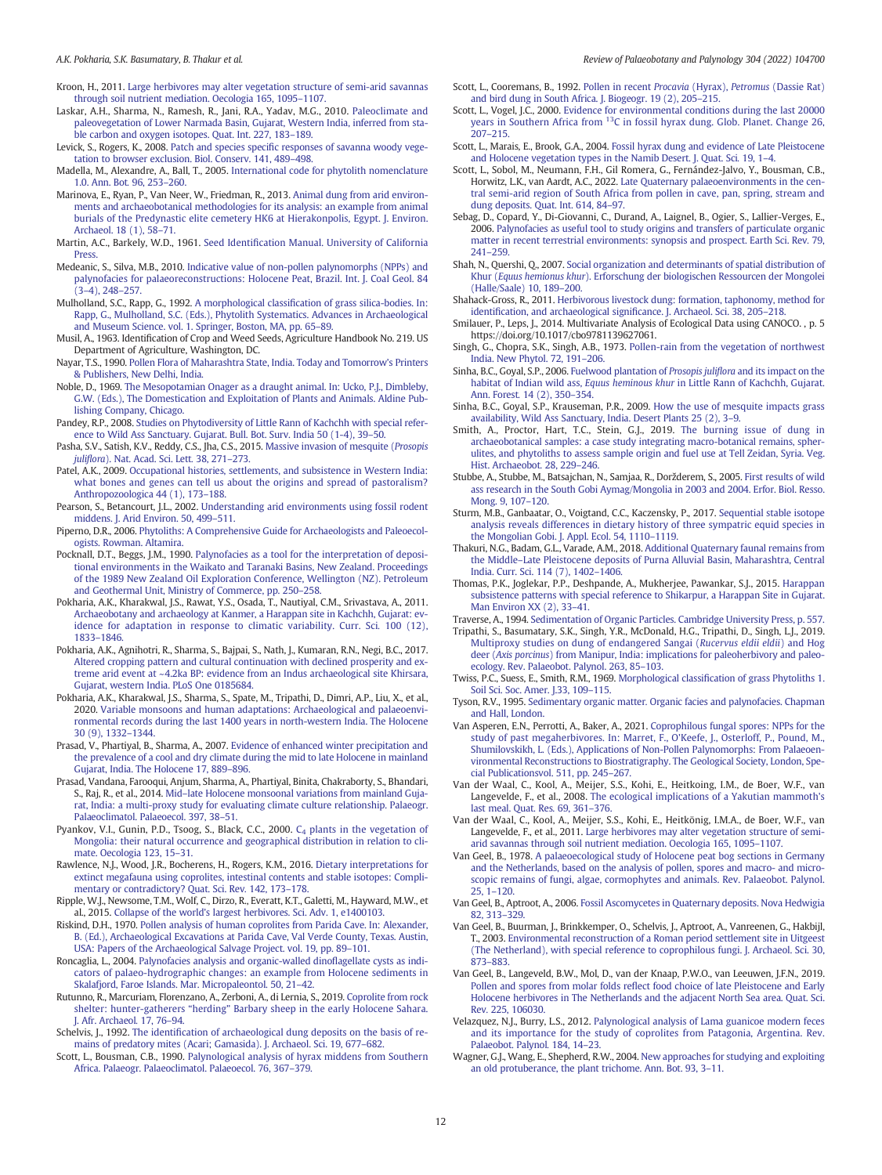- <span id="page-11-0"></span>Kroon, H., 2011. [Large herbivores may alter vegetation structure of semi-arid savannas](http://refhub.elsevier.com/S0034-6667(22)00098-7/rf0240) [through soil nutrient mediation. Oecologia 165, 1095](http://refhub.elsevier.com/S0034-6667(22)00098-7/rf0240)–1107.
- Laskar, A.H., Sharma, N., Ramesh, R., Jani, R.A., Yadav, M.G., 2010. [Paleoclimate and](http://refhub.elsevier.com/S0034-6667(22)00098-7/rf0245) [paleovegetation of Lower Narmada Basin, Gujarat, Western India, inferred from sta](http://refhub.elsevier.com/S0034-6667(22)00098-7/rf0245)[ble carbon and oxygen isotopes. Quat. Int. 227, 183](http://refhub.elsevier.com/S0034-6667(22)00098-7/rf0245)–189.
- Levick, S., Rogers, K., 2008. Patch and species specifi[c responses of savanna woody vege](http://refhub.elsevier.com/S0034-6667(22)00098-7/rf0250)[tation to browser exclusion. Biol. Conserv. 141, 489](http://refhub.elsevier.com/S0034-6667(22)00098-7/rf0250)–498.
- Madella, M., Alexandre, A., Ball, T., 2005. [International code for phytolith nomenclature](http://refhub.elsevier.com/S0034-6667(22)00098-7/rf0255) [1.0. Ann. Bot](http://refhub.elsevier.com/S0034-6667(22)00098-7/rf0255). 96, 253–260.
- Marinova, E., Ryan, P., Van Neer, W., Friedman, R., 2013. [Animal dung from arid environ](http://refhub.elsevier.com/S0034-6667(22)00098-7/rf0260)[ments and archaeobotanical methodologies for its analysis: an example from animal](http://refhub.elsevier.com/S0034-6667(22)00098-7/rf0260) [burials of the Predynastic elite cemetery HK6 at Hierakonpolis, Egypt. J. Environ.](http://refhub.elsevier.com/S0034-6667(22)00098-7/rf0260) [Archaeol. 18 \(1\), 58](http://refhub.elsevier.com/S0034-6667(22)00098-7/rf0260)–71.
- Martin, A.C., Barkely, W.D., 1961. Seed Identifi[cation Manual. University of California](http://refhub.elsevier.com/S0034-6667(22)00098-7/rf0265) [Press.](http://refhub.elsevier.com/S0034-6667(22)00098-7/rf0265)
- Medeanic, S., Silva, M.B., 2010. [Indicative value of non-pollen palynomorphs \(NPPs\) and](http://refhub.elsevier.com/S0034-6667(22)00098-7/rf0270) [palynofacies for palaeoreconstructions: Holocene Peat, Brazil. Int. J. Coal Geol. 84](http://refhub.elsevier.com/S0034-6667(22)00098-7/rf0270)  $(3-4)$ , 248–257.
- Mulholland, S.C., Rapp, G., 1992. A morphological classifi[cation of grass silica-bodies. In:](http://refhub.elsevier.com/S0034-6667(22)00098-7/rf0275) [Rapp, G., Mulholland, S.C. \(Eds.\), Phytolith Systematics. Advances in Archaeological](http://refhub.elsevier.com/S0034-6667(22)00098-7/rf0275) [and Museum Science. vol. 1. Springer, Boston, MA, pp. 65](http://refhub.elsevier.com/S0034-6667(22)00098-7/rf0275)–89.
- Musil, A., 1963. Identification of Crop and Weed Seeds, Agriculture Handbook No. 219. US Department of Agriculture, Washington, DC.
- Nayar, T.S., 1990. [Pollen Flora of Maharashtra State, India. Today and Tomorrow](http://refhub.elsevier.com/S0034-6667(22)00098-7/rf0280)'s Printers [& Publishers, New Delhi, India](http://refhub.elsevier.com/S0034-6667(22)00098-7/rf0280).
- Noble, D., 1969. [The Mesopotamian Onager as a draught animal. In: Ucko, P.J., Dimbleby,](http://refhub.elsevier.com/S0034-6667(22)00098-7/rf0285) [G.W. \(Eds.\), The Domestication and Exploitation of Plants and Animals. Aldine Pub](http://refhub.elsevier.com/S0034-6667(22)00098-7/rf0285)[lishing Company, Chicago](http://refhub.elsevier.com/S0034-6667(22)00098-7/rf0285).
- Pandey, R.P., 2008. [Studies on Phytodiversity of Little Rann of Kachchh with special refer](http://refhub.elsevier.com/S0034-6667(22)00098-7/rf9101)[ence to Wild Ass Sanctuary. Gujarat. Bull. Bot. Surv. India 50 \(1-4\), 39](http://refhub.elsevier.com/S0034-6667(22)00098-7/rf9101)–50.
- Pasha, S.V., Satish, K.V., Reddy, C.S., Jha, C.S., 2015. [Massive invasion of mesquite \(](http://refhub.elsevier.com/S0034-6667(22)00098-7/rf0295)Prosopis juliflora[\). Nat. Acad. Sci. Lett](http://refhub.elsevier.com/S0034-6667(22)00098-7/rf0295). 38, 271–273.
- Patel, A.K., 2009. [Occupational histories, settlements, and subsistence in Western India:](http://refhub.elsevier.com/S0034-6667(22)00098-7/rf0300) [what bones and genes can tell us about the origins and spread of pastoralism?](http://refhub.elsevier.com/S0034-6667(22)00098-7/rf0300) [Anthropozoologica 44 \(1\), 173](http://refhub.elsevier.com/S0034-6667(22)00098-7/rf0300)–188.
- Pearson, S., Betancourt, J.L., 2002. [Understanding arid environments using fossil rodent](http://refhub.elsevier.com/S0034-6667(22)00098-7/rf0305) [middens. J. Arid Environ. 50, 499](http://refhub.elsevier.com/S0034-6667(22)00098-7/rf0305)–511.
- Piperno, D.R., 2006. [Phytoliths: A Comprehensive Guide for Archaeologists and Paleoecol](http://refhub.elsevier.com/S0034-6667(22)00098-7/rf9102)[ogists. Rowman. Altamira.](http://refhub.elsevier.com/S0034-6667(22)00098-7/rf9102)
- Pocknall, D.T., Beggs, J.M., 1990. [Palynofacies as a tool for the interpretation of deposi](http://refhub.elsevier.com/S0034-6667(22)00098-7/rf0310)[tional environments in the Waikato and Taranaki Basins, New Zealand. Proceedings](http://refhub.elsevier.com/S0034-6667(22)00098-7/rf0310) [of the 1989 New Zealand Oil Exploration Conference, Wellington \(NZ\). Petroleum](http://refhub.elsevier.com/S0034-6667(22)00098-7/rf0310) [and Geothermal Unit, Ministry of Commerce, pp. 250](http://refhub.elsevier.com/S0034-6667(22)00098-7/rf0310)–258.
- Pokharia, A.K., Kharakwal, J.S., Rawat, Y.S., Osada, T., Nautiyal, C.M., Srivastava, A., 2011. [Archaeobotany and archaeology at Kanmer, a Harappan site in Kachchh, Gujarat: ev](http://refhub.elsevier.com/S0034-6667(22)00098-7/rf0315)[idence for adaptation in response to climatic variability. Curr. Sci](http://refhub.elsevier.com/S0034-6667(22)00098-7/rf0315). 100 (12), [1833](http://refhub.elsevier.com/S0034-6667(22)00098-7/rf0315)–1846.
- Pokharia, A.K., Agnihotri, R., Sharma, S., Bajpai, S., Nath, J., Kumaran, R.N., Negi, B.C., 2017. [Altered cropping pattern and cultural continuation with declined prosperity and ex](http://refhub.elsevier.com/S0034-6667(22)00098-7/rf0320)[treme arid event at ~4.2ka BP: evidence from an Indus archaeological site Khirsara,](http://refhub.elsevier.com/S0034-6667(22)00098-7/rf0320) [Gujarat, western India. PLoS One 0185684.](http://refhub.elsevier.com/S0034-6667(22)00098-7/rf0320)
- Pokharia, A.K., Kharakwal, J.S., Sharma, S., Spate, M., Tripathi, D., Dimri, A.P., Liu, X., et al., 2020. [Variable monsoons and human adaptations: Archaeological and palaeoenvi](http://refhub.elsevier.com/S0034-6667(22)00098-7/rf0325)[ronmental records during the last 1400 years in north-western India. The Holocene](http://refhub.elsevier.com/S0034-6667(22)00098-7/rf0325) [30 \(9\), 1332](http://refhub.elsevier.com/S0034-6667(22)00098-7/rf0325)–1344.
- Prasad, V., Phartiyal, B., Sharma, A., 2007. [Evidence of enhanced winter precipitation and](http://refhub.elsevier.com/S0034-6667(22)00098-7/rf0330) [the prevalence of a cool and dry climate during the mid to late Holocene in mainland](http://refhub.elsevier.com/S0034-6667(22)00098-7/rf0330) [Gujarat, India. The Holocene 17, 889](http://refhub.elsevier.com/S0034-6667(22)00098-7/rf0330)–896.
- Prasad, Vandana, Farooqui, Anjum, Sharma, A., Phartiyal, Binita, Chakraborty, S., Bhandari, S., Raj, R., et al., 2014. Mid–[late Holocene monsoonal variations from mainland Guja](http://refhub.elsevier.com/S0034-6667(22)00098-7/rf0335)[rat, India: a multi-proxy study for evaluating climate culture relationship. Palaeogr.](http://refhub.elsevier.com/S0034-6667(22)00098-7/rf0335) [Palaeoclimatol. Palaeoecol. 397, 38](http://refhub.elsevier.com/S0034-6667(22)00098-7/rf0335)–51.
- Pyankov, V.I., Gunin, P.D., Tsoog, S., Black, C.C., 2000. C<sub>4</sub> [plants in the vegetation of](http://refhub.elsevier.com/S0034-6667(22)00098-7/rf0340) [Mongolia: their natural occurrence and geographical distribution in relation to cli](http://refhub.elsevier.com/S0034-6667(22)00098-7/rf0340)[mate. Oecologia 123, 15](http://refhub.elsevier.com/S0034-6667(22)00098-7/rf0340)–31.
- Rawlence, N.J., Wood, J.R., Bocherens, H., Rogers, K.M., 2016. [Dietary interpretations for](http://refhub.elsevier.com/S0034-6667(22)00098-7/rf0345) [extinct megafauna using coprolites, intestinal contents and stable isotopes: Compli](http://refhub.elsevier.com/S0034-6667(22)00098-7/rf0345)[mentary or contradictory? Quat. Sci. Rev](http://refhub.elsevier.com/S0034-6667(22)00098-7/rf0345). 142, 173–178.
- Ripple, W.J., Newsome, T.M., Wolf, C., Dirzo, R., Everatt, K.T., Galetti, M., Hayward, M.W., et al., 2015. Collapse of the world'[s largest herbivores. Sci. Adv. 1, e1400103](http://refhub.elsevier.com/S0034-6667(22)00098-7/rf0350).
- Riskind, D.H., 1970. [Pollen analysis of human coprolites from Parida Cave. In: Alexander,](http://refhub.elsevier.com/S0034-6667(22)00098-7/rf0355) [B. \(Ed.\), Archaeological Excavations at Parida Cave, Val Verde County, Texas. Austin,](http://refhub.elsevier.com/S0034-6667(22)00098-7/rf0355) [USA: Papers of the Archaeological Salvage Project. vol. 19, pp. 89](http://refhub.elsevier.com/S0034-6667(22)00098-7/rf0355)–101.
- Roncaglia, L., 2004. [Palynofacies analysis and organic-walled dino](http://refhub.elsevier.com/S0034-6667(22)00098-7/rf0360)flagellate cysts as indi[cators of palaeo-hydrographic changes: an example from Holocene sediments in](http://refhub.elsevier.com/S0034-6667(22)00098-7/rf0360) [Skalafjord, Faroe Islands. Mar. Micropaleontol. 50, 21](http://refhub.elsevier.com/S0034-6667(22)00098-7/rf0360)–42.
- Rutunno, R., Marcuriam, Florenzano, A., Zerboni, A., di Lernia, S., 2019. [Coprolite from rock](http://refhub.elsevier.com/S0034-6667(22)00098-7/rf0365) shelter: hunter-gatherers "herding" [Barbary sheep in the early Holocene Sahara.](http://refhub.elsevier.com/S0034-6667(22)00098-7/rf0365) [J. Afr. Archaeol](http://refhub.elsevier.com/S0034-6667(22)00098-7/rf0365). 17, 76–94.
- Schelvis, J., 1992. The identifi[cation of archaeological dung deposits on the basis of re](http://refhub.elsevier.com/S0034-6667(22)00098-7/rf0370)[mains of predatory mites \(Acari; Gamasida\). J. Archaeol. Sci. 19, 677](http://refhub.elsevier.com/S0034-6667(22)00098-7/rf0370)–682.
- Scott, L., Bousman, C.B., 1990. [Palynological analysis of hyrax middens from Southern](http://refhub.elsevier.com/S0034-6667(22)00098-7/rf0375) [Africa. Palaeogr. Palaeoclimatol. Palaeoecol. 76, 367](http://refhub.elsevier.com/S0034-6667(22)00098-7/rf0375)–379.
- Scott, L., Cooremans, B., 1992. [Pollen in recent](http://refhub.elsevier.com/S0034-6667(22)00098-7/rf0380) Procavia (Hyrax), Petromus (Dassie Rat) [and bird dung in South Africa. J. Biogeogr. 19 \(2\), 205](http://refhub.elsevier.com/S0034-6667(22)00098-7/rf0380)–215.
- Scott, L., Vogel, J.C., 2000. [Evidence for environmental conditions during the last 20000](http://refhub.elsevier.com/S0034-6667(22)00098-7/rf0385) [years](http://refhub.elsevier.com/S0034-6667(22)00098-7/rf0385) [in](http://refhub.elsevier.com/S0034-6667(22)00098-7/rf0385) [Southern](http://refhub.elsevier.com/S0034-6667(22)00098-7/rf0385) [Africa](http://refhub.elsevier.com/S0034-6667(22)00098-7/rf0385) [from](http://refhub.elsevier.com/S0034-6667(22)00098-7/rf0385) <sup>13</sup>[C in fossil hyrax dung. Glob. Planet. Change 26,](http://refhub.elsevier.com/S0034-6667(22)00098-7/rf0385) [207](http://refhub.elsevier.com/S0034-6667(22)00098-7/rf0385)–215.
- Scott, L., Marais, E., Brook, G.A., 2004. [Fossil hyrax dung and evidence of Late Pleistocene](http://refhub.elsevier.com/S0034-6667(22)00098-7/rf0390) [and Holocene vegetation types in the Namib Desert. J. Quat. Sci](http://refhub.elsevier.com/S0034-6667(22)00098-7/rf0390). 19, 1–4.
- Scott, L., Sobol, M., Neumann, F.H., Gil Romera, G., Fernández-Jalvo, Y., Bousman, C.B., Horwitz, L.K., van Aardt, A.C., 2022. [Late Quaternary palaeoenvironments in the cen](http://refhub.elsevier.com/S0034-6667(22)00098-7/rf9100)[tral semi-arid region of South Africa from pollen in cave, pan, spring, stream and](http://refhub.elsevier.com/S0034-6667(22)00098-7/rf9100) [dung deposits. Quat. Int. 614, 84](http://refhub.elsevier.com/S0034-6667(22)00098-7/rf9100)–97.
- Sebag, D., Copard, Y., Di-Giovanni, C., Durand, A., Laignel, B., Ogier, S., Lallier-Verges, E., 2006. [Palynofacies as useful tool to study origins and transfers of particulate organic](http://refhub.elsevier.com/S0034-6667(22)00098-7/rf0395) [matter in recent terrestrial environments: synopsis and prospect. Earth Sci. Rev](http://refhub.elsevier.com/S0034-6667(22)00098-7/rf0395). 79, [241](http://refhub.elsevier.com/S0034-6667(22)00098-7/rf0395)–259.
- Shah, N., Quershi, Q., 2007. [Social organization and determinants of spatial distribution of](http://refhub.elsevier.com/S0034-6667(22)00098-7/rf0400) Khur (Equus hemionus khur[\). Erforschung der biologischen Ressourcen der Mongolei](http://refhub.elsevier.com/S0034-6667(22)00098-7/rf0400) [\(Halle/Saale\) 10, 189](http://refhub.elsevier.com/S0034-6667(22)00098-7/rf0400)–200.
- Shahack-Gross, R., 2011. [Herbivorous livestock dung: formation, taphonomy, method for](http://refhub.elsevier.com/S0034-6667(22)00098-7/rf0405) identifi[cation, and archaeological signi](http://refhub.elsevier.com/S0034-6667(22)00098-7/rf0405)ficance. J. Archaeol. Sci. 38, 205–218.
- Smilauer, P., Leps, J., 2014. Multivariate Analysis of Ecological Data using CANOCO. , p. 5 https://doi.org/10.1017/cbo9781139627061.
- Singh, G., Chopra, S.K., Singh, A.B., 1973. [Pollen-rain from the vegetation of northwest](http://refhub.elsevier.com/S0034-6667(22)00098-7/rf0410) [India. New Phytol. 72, 191](http://refhub.elsevier.com/S0034-6667(22)00098-7/rf0410)–206.
- Sinha, B.C., Goyal, S.P., 2006. [Fuelwood plantation of](http://refhub.elsevier.com/S0034-6667(22)00098-7/rf0415) Prosopis juliflora and its impact on the habitat of Indian wild ass, Equus heminous khur [in Little Rann of Kachchh, Gujarat.](http://refhub.elsevier.com/S0034-6667(22)00098-7/rf0415) [Ann. Forest](http://refhub.elsevier.com/S0034-6667(22)00098-7/rf0415). 14 (2), 350–354.
- Sinha, B.C., Goyal, S.P., Krauseman, P.R., 2009. [How the use of mesquite impacts grass](http://refhub.elsevier.com/S0034-6667(22)00098-7/rf0420) [availability, Wild Ass Sanctuary, India. Desert Plants 25 \(2\), 3](http://refhub.elsevier.com/S0034-6667(22)00098-7/rf0420)–9.
- Smith, A., Proctor, Hart, T.C., Stein, G.J., 2019. [The burning issue of dung in](http://refhub.elsevier.com/S0034-6667(22)00098-7/rf0425) [archaeobotanical samples: a case study integrating macro-botanical remains, spher](http://refhub.elsevier.com/S0034-6667(22)00098-7/rf0425)[ulites, and phytoliths to assess sample origin and fuel use at Tell Zeidan, Syria. Veg.](http://refhub.elsevier.com/S0034-6667(22)00098-7/rf0425) [Hist. Archaeobot](http://refhub.elsevier.com/S0034-6667(22)00098-7/rf0425). 28, 229–246.
- Stubbe, A., Stubbe, M., Batsajchan, N., Samjaa, R., Doržderem, S., 2005. [First results of wild](http://refhub.elsevier.com/S0034-6667(22)00098-7/rf0430) [ass research in the South Gobi Aymag/Mongolia in 2003 and 2004. Erfor. Biol. Resso.](http://refhub.elsevier.com/S0034-6667(22)00098-7/rf0430) [Mong. 9, 107](http://refhub.elsevier.com/S0034-6667(22)00098-7/rf0430)–120.
- Sturm, M.B., Ganbaatar, O., Voigtand, C.C., Kaczensky, P., 2017. [Sequential stable isotope](http://refhub.elsevier.com/S0034-6667(22)00098-7/rf0435) [analysis reveals differences in dietary history of three sympatric equid species in](http://refhub.elsevier.com/S0034-6667(22)00098-7/rf0435) [the Mongolian Gobi. J. Appl. Ecol. 54, 1110](http://refhub.elsevier.com/S0034-6667(22)00098-7/rf0435)–1119.
- Thakuri, N.G., Badam, G.L., Varade, A.M., 2018. [Additional Quaternary faunal remains from](http://refhub.elsevier.com/S0034-6667(22)00098-7/rf0440) the Middle–[Late Pleistocene deposits of Purna Alluvial Basin, Maharashtra, Central](http://refhub.elsevier.com/S0034-6667(22)00098-7/rf0440) [India. Curr. Sci. 114 \(7\), 1402](http://refhub.elsevier.com/S0034-6667(22)00098-7/rf0440)–1406.
- Thomas, P.K., Joglekar, P.P., Deshpande, A., Mukherjee, Pawankar, S.J., 2015. [Harappan](http://refhub.elsevier.com/S0034-6667(22)00098-7/rf0210) [subsistence patterns with special reference to Shikarpur, a Harappan Site in Gujarat.](http://refhub.elsevier.com/S0034-6667(22)00098-7/rf0210) [Man Environ XX \(2\), 33](http://refhub.elsevier.com/S0034-6667(22)00098-7/rf0210)–41.
- Traverse, A., 1994. [Sedimentation of Organic Particles. Cambridge University Press, p. 557.](http://refhub.elsevier.com/S0034-6667(22)00098-7/rf0445)
- Tripathi, S., Basumatary, S.K., Singh, Y.R., McDonald, H.G., Tripathi, D., Singh, L.J., 2019. [Multiproxy studies on dung of endangered Sangai \(](http://refhub.elsevier.com/S0034-6667(22)00098-7/rf0450)Rucervus eldii eldii) and Hog deer (Axis porcinus[\) from Manipur, India: implications for paleoherbivory and paleo](http://refhub.elsevier.com/S0034-6667(22)00098-7/rf0450)[ecology. Rev. Palaeobot. Palynol. 263, 85](http://refhub.elsevier.com/S0034-6667(22)00098-7/rf0450)–103.
- Twiss, P.C., Suess, E., Smith, R.M., 1969. Morphological classifi[cation of grass Phytoliths 1.](http://refhub.elsevier.com/S0034-6667(22)00098-7/rf0455) [Soil Sci. Soc. Amer. J.33, 109](http://refhub.elsevier.com/S0034-6667(22)00098-7/rf0455)–115.
- Tyson, R.V., 1995. Sedimentary organic matter. [Organic facies and palynofacies. Chapman](http://refhub.elsevier.com/S0034-6667(22)00098-7/rf0460) [and Hall, London](http://refhub.elsevier.com/S0034-6667(22)00098-7/rf0460).
- Van Asperen, E.N., Perrotti, A., Baker, A., 2021. [Coprophilous fungal spores: NPPs for the](http://refhub.elsevier.com/S0034-6667(22)00098-7/rf0465) [study of past megaherbivores. In: Marret, F., O](http://refhub.elsevier.com/S0034-6667(22)00098-7/rf0465)'Keefe, J., Osterloff, P., Pound, M., [Shumilovskikh, L. \(Eds.\), Applications of Non-Pollen Palynomorphs: From Palaeoen](http://refhub.elsevier.com/S0034-6667(22)00098-7/rf0465)[vironmental Reconstructions to Biostratigraphy. The Geological Society, London, Spe](http://refhub.elsevier.com/S0034-6667(22)00098-7/rf0465)[cial Publicationsvol. 511, pp. 245](http://refhub.elsevier.com/S0034-6667(22)00098-7/rf0465)–267.
- Van der Waal, C., Kool, A., Meijer, S.S., Kohi, E., Heitkoing, I.M., de Boer, W.F., van Langevelde, F., et al., 2008. [The ecological implications of a Yakutian mammoth's](http://refhub.elsevier.com/S0034-6667(22)00098-7/rf0470) [last meal. Quat. Res](http://refhub.elsevier.com/S0034-6667(22)00098-7/rf0470). 69, 361–376.
- Van der Waal, C., Kool, A., Meijer, S.S., Kohi, E., Heitkönig, I.M.A., de Boer, W.F., van Langevelde, F., et al., 2011. [Large herbivores may alter vegetation structure of semi](http://refhub.elsevier.com/S0034-6667(22)00098-7/rf0475)[arid savannas through soil nutrient mediation. Oecologia 165, 1095](http://refhub.elsevier.com/S0034-6667(22)00098-7/rf0475)–1107.
- Van Geel, B., 1978. [A palaeoecological study of Holocene peat bog sections in Germany](http://refhub.elsevier.com/S0034-6667(22)00098-7/rf0480) [and the Netherlands, based on the analysis of pollen, spores and macro- and micro](http://refhub.elsevier.com/S0034-6667(22)00098-7/rf0480)[scopic remains of fungi, algae, cormophytes and animals. Rev. Palaeobot. Palynol.](http://refhub.elsevier.com/S0034-6667(22)00098-7/rf0480) [25, 1](http://refhub.elsevier.com/S0034-6667(22)00098-7/rf0480)–120.
- Van Geel, B., Aptroot, A., 2006. [Fossil Ascomycetes in Quaternary deposits. Nova Hedwigia](http://refhub.elsevier.com/S0034-6667(22)00098-7/rf0485) [82, 313](http://refhub.elsevier.com/S0034-6667(22)00098-7/rf0485)–329.
- Van Geel, B., Buurman, J., Brinkkemper, O., Schelvis, J., Aptroot, A., Vanreenen, G., Hakbijl, T., 2003. [Environmental reconstruction of a Roman period settlement site in Uitgeest](http://refhub.elsevier.com/S0034-6667(22)00098-7/rf0490) [\(The Netherland\), with special reference to coprophilous fungi. J. Archaeol. Sci. 30,](http://refhub.elsevier.com/S0034-6667(22)00098-7/rf0490) [873](http://refhub.elsevier.com/S0034-6667(22)00098-7/rf0490)–883.
- Van Geel, B., Langeveld, B.W., Mol, D., van der Knaap, P.W.O., van Leeuwen, J.F.N., 2019. Pollen and spores from molar folds refl[ect food choice of late Pleistocene and Early](http://refhub.elsevier.com/S0034-6667(22)00098-7/rf0495) [Holocene herbivores in The Netherlands and the adjacent North Sea area. Quat. Sci.](http://refhub.elsevier.com/S0034-6667(22)00098-7/rf0495) Rev. [225, 106030](http://refhub.elsevier.com/S0034-6667(22)00098-7/rf0495).
- Velazquez, N.J., Burry, L.S., 2012. [Palynological analysis of Lama guanicoe modern feces](http://refhub.elsevier.com/S0034-6667(22)00098-7/rf0500) [and its importance for the study of coprolites from Patagonia, Argentina. Rev.](http://refhub.elsevier.com/S0034-6667(22)00098-7/rf0500) [Palaeobot. Palynol](http://refhub.elsevier.com/S0034-6667(22)00098-7/rf0500). 184, 14–23.
- Wagner, G.J., Wang, E., Shepherd, R.W., 2004. [New approaches for studying and exploiting](http://refhub.elsevier.com/S0034-6667(22)00098-7/rf0505) [an old protuberance, the plant trichome. Ann. Bot. 93, 3](http://refhub.elsevier.com/S0034-6667(22)00098-7/rf0505)–11.